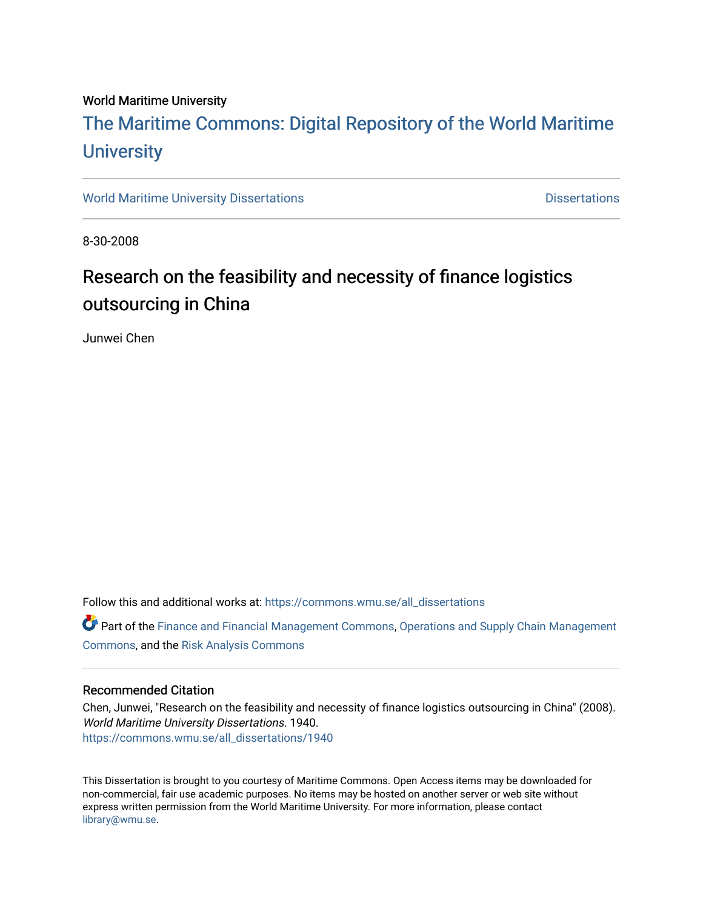#### World Maritime University

# [The Maritime Commons: Digital Repository of the World Maritime](https://commons.wmu.se/)  **University**

[World Maritime University Dissertations](https://commons.wmu.se/all_dissertations) **Distributions** [Dissertations](https://commons.wmu.se/dissertations) Dissertations

8-30-2008

# Research on the feasibility and necessity of finance logistics outsourcing in China

Junwei Chen

Follow this and additional works at: [https://commons.wmu.se/all\\_dissertations](https://commons.wmu.se/all_dissertations?utm_source=commons.wmu.se%2Fall_dissertations%2F1940&utm_medium=PDF&utm_campaign=PDFCoverPages) 

Part of the [Finance and Financial Management Commons,](http://network.bepress.com/hgg/discipline/631?utm_source=commons.wmu.se%2Fall_dissertations%2F1940&utm_medium=PDF&utm_campaign=PDFCoverPages) [Operations and Supply Chain Management](http://network.bepress.com/hgg/discipline/1229?utm_source=commons.wmu.se%2Fall_dissertations%2F1940&utm_medium=PDF&utm_campaign=PDFCoverPages) [Commons](http://network.bepress.com/hgg/discipline/1229?utm_source=commons.wmu.se%2Fall_dissertations%2F1940&utm_medium=PDF&utm_campaign=PDFCoverPages), and the [Risk Analysis Commons](http://network.bepress.com/hgg/discipline/1199?utm_source=commons.wmu.se%2Fall_dissertations%2F1940&utm_medium=PDF&utm_campaign=PDFCoverPages)

#### Recommended Citation

Chen, Junwei, "Research on the feasibility and necessity of finance logistics outsourcing in China" (2008). World Maritime University Dissertations. 1940. [https://commons.wmu.se/all\\_dissertations/1940](https://commons.wmu.se/all_dissertations/1940?utm_source=commons.wmu.se%2Fall_dissertations%2F1940&utm_medium=PDF&utm_campaign=PDFCoverPages)

This Dissertation is brought to you courtesy of Maritime Commons. Open Access items may be downloaded for non-commercial, fair use academic purposes. No items may be hosted on another server or web site without express written permission from the World Maritime University. For more information, please contact [library@wmu.se](mailto:library@wmu.edu).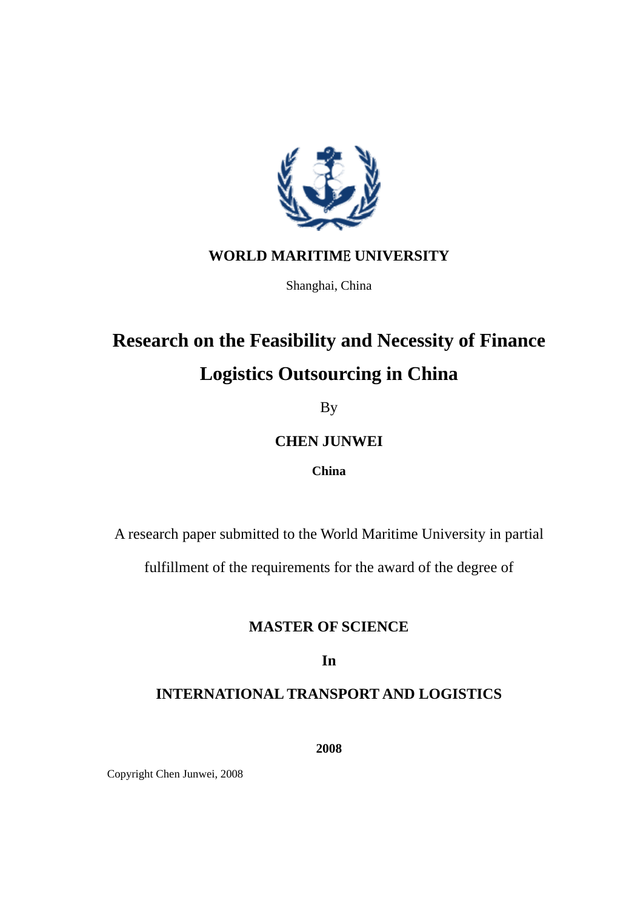

## **WORLD MARITIM**E **UNIVERSITY**

Shanghai, China

# **Research on the Feasibility and Necessity of Finance Logistics Outsourcing in China**

By

## **CHEN JUNWEI**

### **China**

A research paper submitted to the World Maritime University in partial

fulfillment of the requirements for the award of the degree of

### **MASTER OF SCIENCE**

**In** 

## **INTERNATIONAL TRANSPORT AND LOGISTICS**

**2008** 

Copyright Chen Junwei, 2008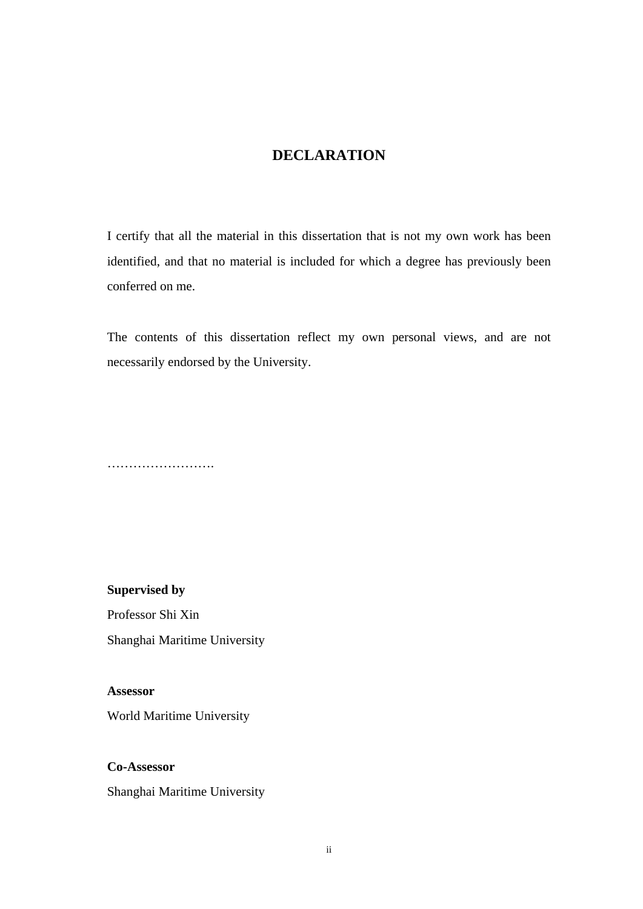### **DECLARATION**

<span id="page-2-0"></span>I certify that all the material in this dissertation that is not my own work has been identified, and that no material is included for which a degree has previously been conferred on me.

The contents of this dissertation reflect my own personal views, and are not necessarily endorsed by the University.

…………………….

**Supervised by** 

Professor Shi Xin Shanghai Maritime University

**Assessor**  World Maritime University

**Co-Assessor** 

Shanghai Maritime University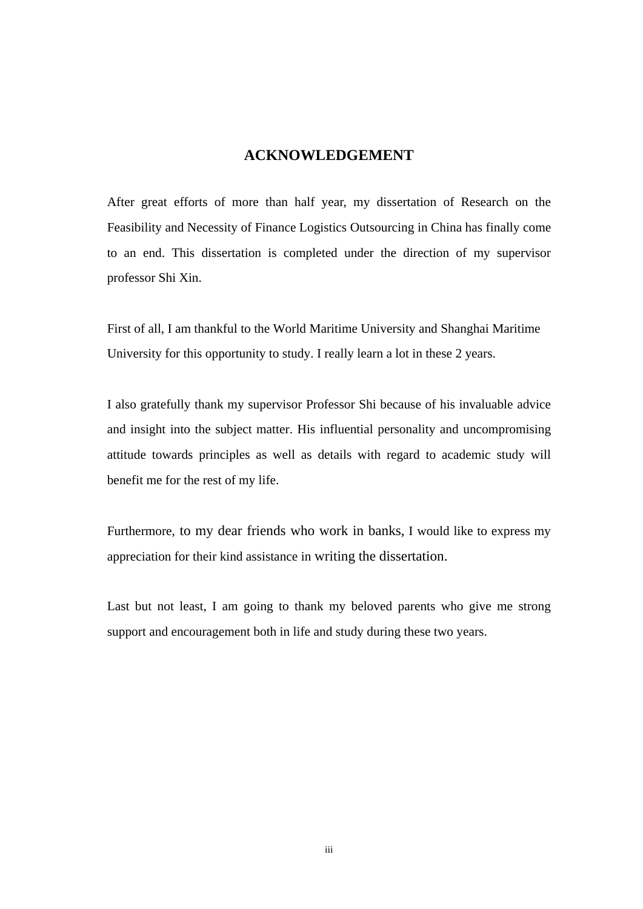### **ACKNOWLEDGEMENT**

<span id="page-3-0"></span>After great efforts of more than half year, my dissertation of Research on the Feasibility and Necessity of Finance Logistics Outsourcing in China has finally come to an end. This dissertation is completed under the direction of my supervisor professor Shi Xin.

First of all, I am thankful to the World Maritime University and Shanghai Maritime University for this opportunity to study. I really learn a lot in these 2 years.

I also gratefully thank my supervisor Professor Shi because of his invaluable advice and insight into the subject matter. His influential personality and uncompromising attitude towards principles as well as details with regard to academic study will benefit me for the rest of my life.

Furthermore, to my dear friends who work in banks, I would like to express my appreciation for their kind assistance in writing the dissertation.

Last but not least, I am going to thank my beloved parents who give me strong support and encouragement both in life and study during these two years.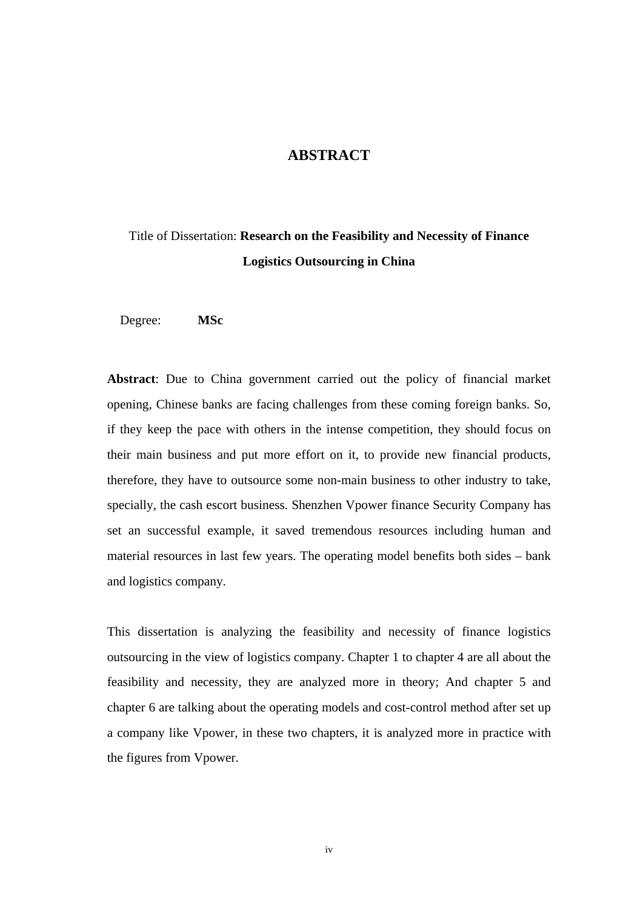### **ABSTRACT**

# <span id="page-4-0"></span>Title of Dissertation: **Research on the Feasibility and Necessity of Finance Logistics Outsourcing in China**

Degree: **MSc** 

**Abstract**: Due to China government carried out the policy of financial market opening, Chinese banks are facing challenges from these coming foreign banks. So, if they keep the pace with others in the intense competition, they should focus on their main business and put more effort on it, to provide new financial products, therefore, they have to outsource some non-main business to other industry to take, specially, the cash escort business. Shenzhen Vpower finance Security Company has set an successful example, it saved tremendous resources including human and material resources in last few years. The operating model benefits both sides – bank and logistics company.

This dissertation is analyzing the feasibility and necessity of finance logistics outsourcing in the view of logistics company. Chapter 1 to chapter 4 are all about the feasibility and necessity, they are analyzed more in theory; And chapter 5 and chapter 6 are talking about the operating models and cost-control method after set up a company like Vpower, in these two chapters, it is analyzed more in practice with the figures from Vpower.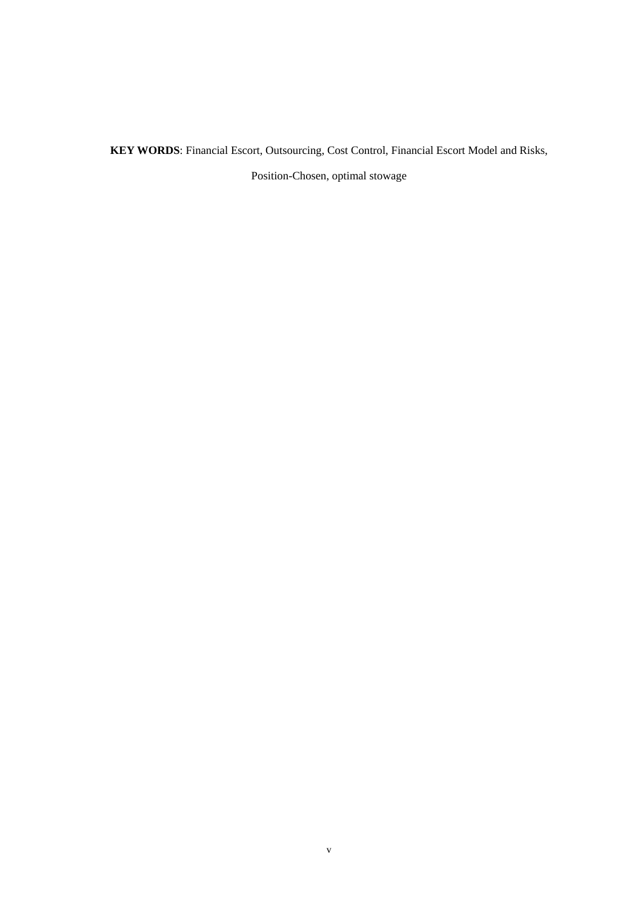**KEY WORDS**: Financial Escort, Outsourcing, Cost Control, Financial Escort Model and Risks,

Position-Chosen, optimal stowage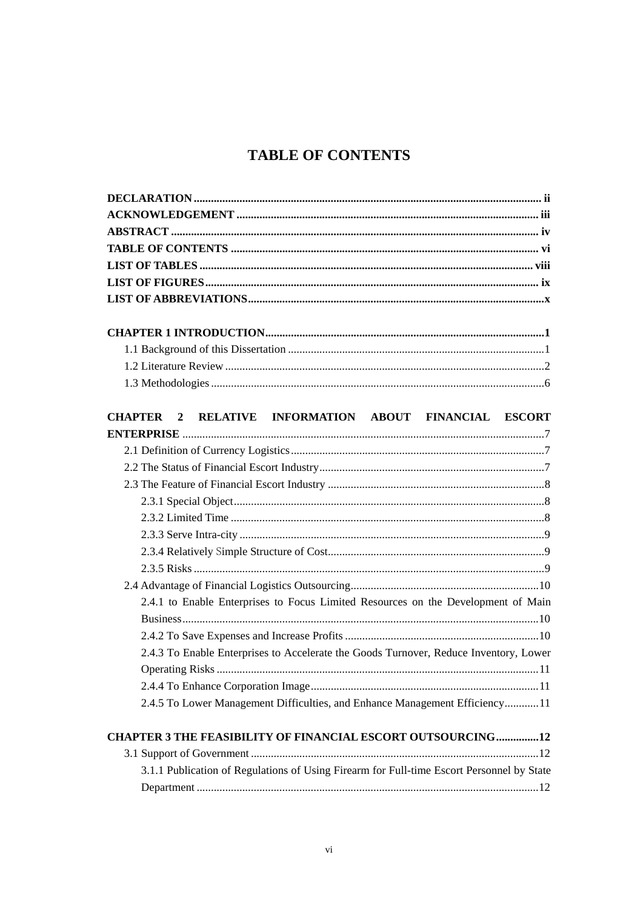## **TABLE OF CONTENTS**

<span id="page-6-0"></span>

| CHAPTER 2 RELATIVE INFORMATION ABOUT FINANCIAL ESCORT                                     |
|-------------------------------------------------------------------------------------------|
|                                                                                           |
|                                                                                           |
|                                                                                           |
|                                                                                           |
|                                                                                           |
|                                                                                           |
|                                                                                           |
|                                                                                           |
|                                                                                           |
|                                                                                           |
| 2.4.1 to Enable Enterprises to Focus Limited Resources on the Development of Main         |
|                                                                                           |
|                                                                                           |
| 2.4.3 To Enable Enterprises to Accelerate the Goods Turnover, Reduce Inventory, Lower     |
|                                                                                           |
|                                                                                           |
| 2.4.5 To Lower Management Difficulties, and Enhance Management Efficiency11               |
| <b>CHAPTER 3 THE FEASIBILITY OF FINANCIAL ESCORT OUTSOURCING12</b>                        |
|                                                                                           |
| 3.1.1 Publication of Regulations of Using Firearm for Full-time Escort Personnel by State |
|                                                                                           |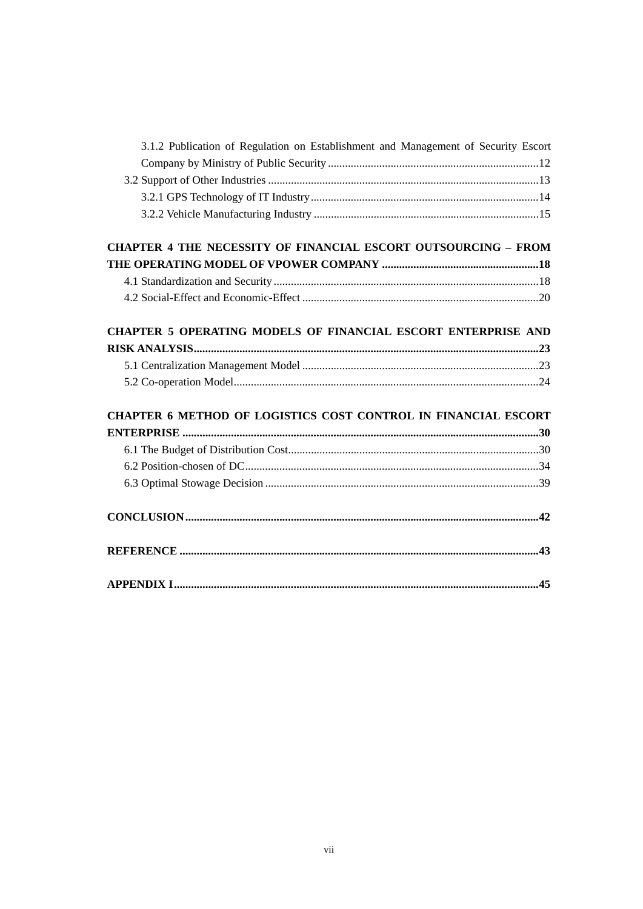| 3.1.2 Publication of Regulation on Establishment and Management of Security Escort |  |
|------------------------------------------------------------------------------------|--|
|                                                                                    |  |
|                                                                                    |  |
|                                                                                    |  |
|                                                                                    |  |
|                                                                                    |  |
| <b>CHAPTER 4 THE NECESSITY OF FINANCIAL ESCORT OUTSOURCING - FROM</b>              |  |
|                                                                                    |  |
|                                                                                    |  |
|                                                                                    |  |
|                                                                                    |  |
| <b>CHAPTER 5 OPERATING MODELS OF FINANCIAL ESCORT ENTERPRISE AND</b>               |  |
|                                                                                    |  |
|                                                                                    |  |
|                                                                                    |  |
|                                                                                    |  |
| CHAPTER 6 METHOD OF LOGISTICS COST CONTROL IN FINANCIAL ESCORT                     |  |
|                                                                                    |  |
|                                                                                    |  |
|                                                                                    |  |
|                                                                                    |  |
|                                                                                    |  |
|                                                                                    |  |
|                                                                                    |  |
|                                                                                    |  |
|                                                                                    |  |
|                                                                                    |  |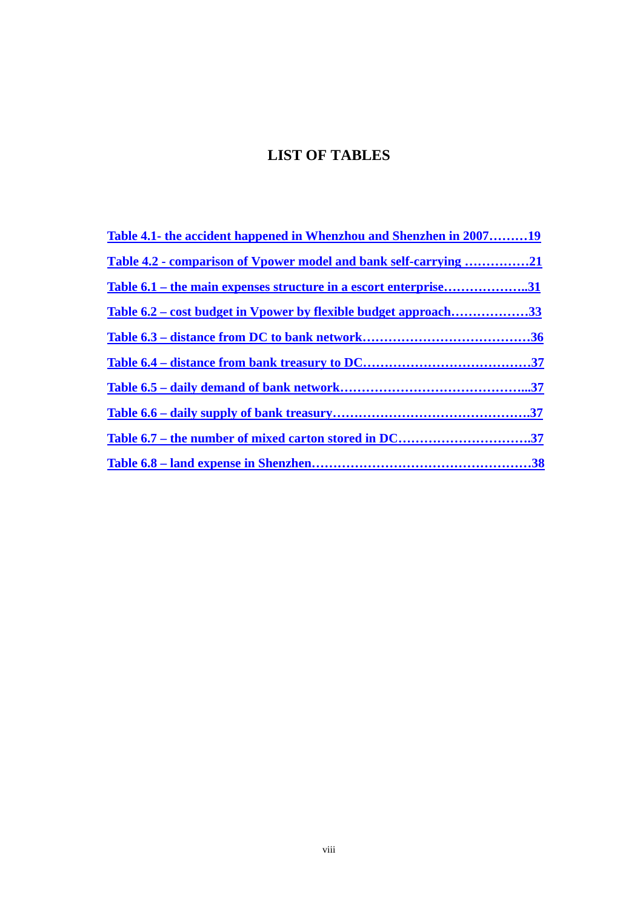## **LIST OF TABLES**

<span id="page-8-0"></span>

| Table 4.1- the accident happened in Whenzhou and Shenzhen in 200719    |  |
|------------------------------------------------------------------------|--|
| Table 4.2 - comparison of Vpower model and bank self-carrying 21       |  |
| Table 6.1 – the main expenses structure in a escort enterprise31       |  |
| <u>Table 6.2 – cost budget in Vpower by flexible budget approach33</u> |  |
|                                                                        |  |
|                                                                        |  |
|                                                                        |  |
|                                                                        |  |
| Table 6.7 – the number of mixed carton stored in DC37                  |  |
|                                                                        |  |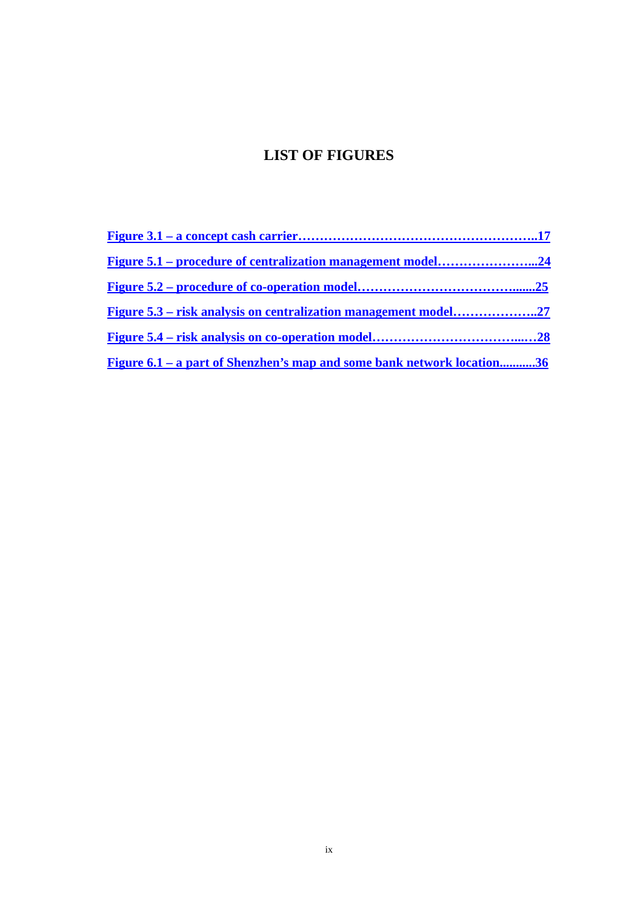## **LIST OF FIGURES**

<span id="page-9-0"></span>

| <b>Figure 6.1 – a part of Shenzhen's map and some bank network location36</b> |  |
|-------------------------------------------------------------------------------|--|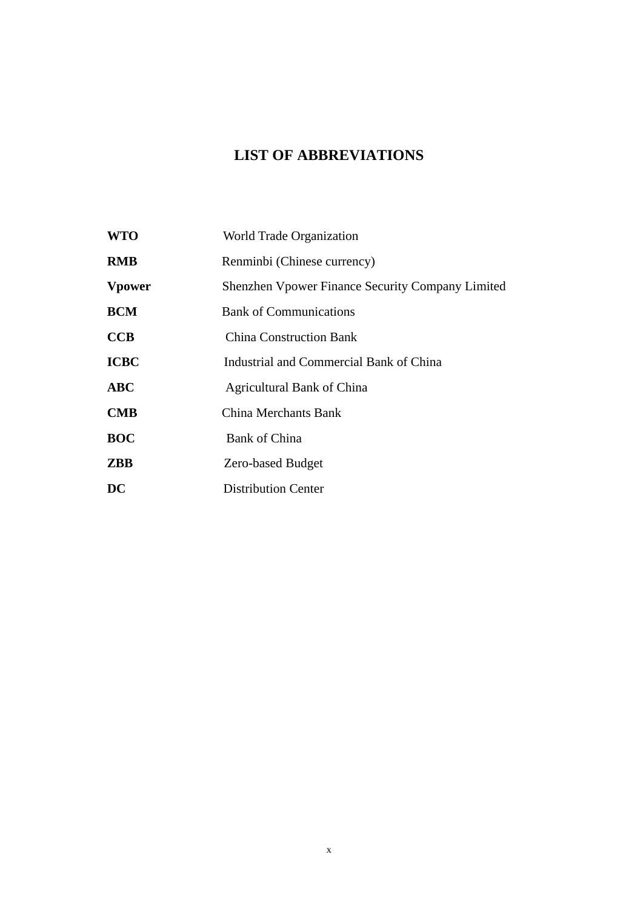## **LIST OF ABBREVIATIONS**

<span id="page-10-0"></span>

| <b>WTO</b>     | World Trade Organization                                |
|----------------|---------------------------------------------------------|
| <b>RMB</b>     | Renminbi (Chinese currency)                             |
| <b>V</b> power | <b>Shenzhen Vpower Finance Security Company Limited</b> |
| <b>BCM</b>     | <b>Bank of Communications</b>                           |
| <b>CCB</b>     | <b>China Construction Bank</b>                          |
| <b>ICBC</b>    | Industrial and Commercial Bank of China                 |
| <b>ABC</b>     | <b>Agricultural Bank of China</b>                       |
| $\mathbf{CMB}$ | China Merchants Bank                                    |
| <b>BOC</b>     | <b>Bank of China</b>                                    |
| <b>ZBB</b>     | <b>Zero-based Budget</b>                                |
| DC             | <b>Distribution Center</b>                              |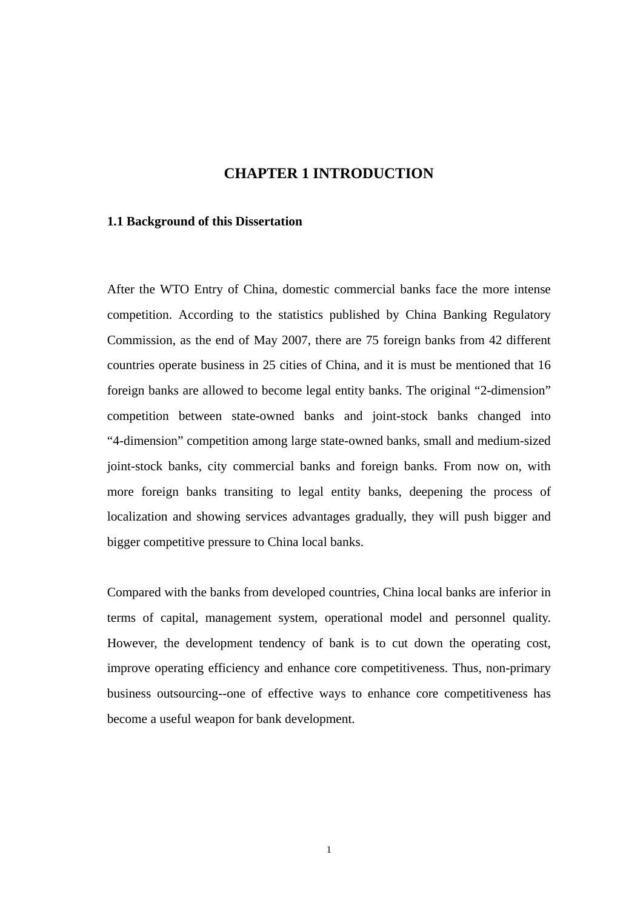### **CHAPTER 1 INTRODUCTION**

#### <span id="page-11-0"></span>**1.1 Background of this Dissertation**

After the WTO Entry of China, domestic commercial banks face the more intense competition. According to the statistics published by China Banking Regulatory Commission, as the end of May 2007, there are 75 foreign banks from 42 different countries operate business in 25 cities of China, and it is must be mentioned that 16 foreign banks are allowed to become legal entity banks. The original "2-dimension" competition between state-owned banks and joint-stock banks changed into "4-dimension" competition among large state-owned banks, small and medium-sized joint-stock banks, city commercial banks and foreign banks. From now on, with more foreign banks transiting to legal entity banks, deepening the process of localization and showing services advantages gradually, they will push bigger and bigger competitive pressure to China local banks.

Compared with the banks from developed countries, China local banks are inferior in terms of capital, management system, operational model and personnel quality. However, the development tendency of bank is to cut down the operating cost, improve operating efficiency and enhance core competitiveness. Thus, non-primary business outsourcing--one of effective ways to enhance core competitiveness has become a useful weapon for bank development.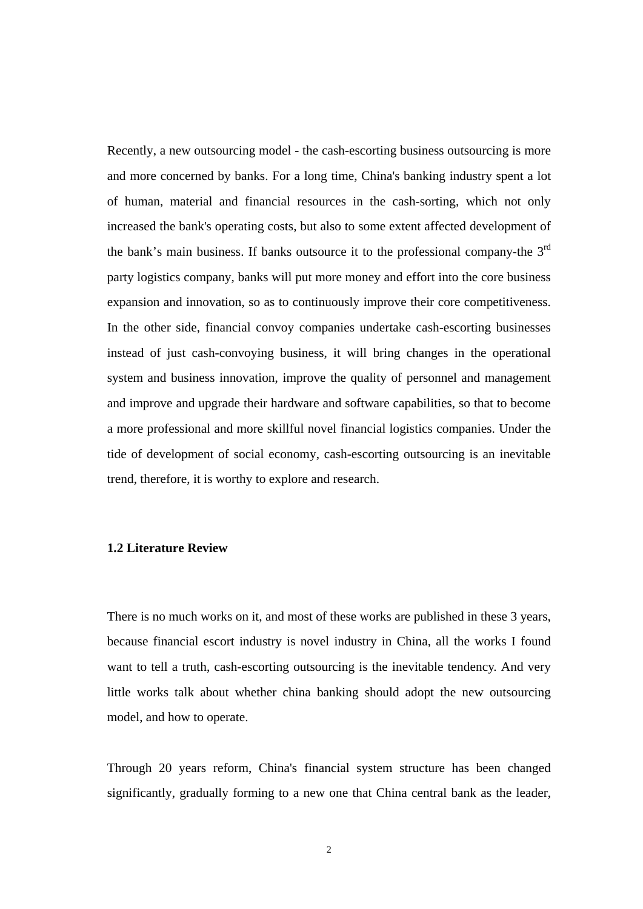<span id="page-12-0"></span>Recently, a new outsourcing model - the cash-escorting business outsourcing is more and more concerned by banks. For a long time, China's banking industry spent a lot of human, material and financial resources in the cash-sorting, which not only increased the bank's operating costs, but also to some extent affected development of the bank's main business. If banks outsource it to the professional company-the  $3<sup>rd</sup>$ party logistics company, banks will put more money and effort into the core business expansion and innovation, so as to continuously improve their core competitiveness. In the other side, financial convoy companies undertake cash-escorting businesses instead of just cash-convoying business, it will bring changes in the operational system and business innovation, improve the quality of personnel and management and improve and upgrade their hardware and software capabilities, so that to become a more professional and more skillful novel financial logistics companies. Under the tide of development of social economy, cash-escorting outsourcing is an inevitable trend, therefore, it is worthy to explore and research.

#### **1.2 Literature Review**

There is no much works on it, and most of these works are published in these 3 years, because financial escort industry is novel industry in China, all the works I found want to tell a truth, cash-escorting outsourcing is the inevitable tendency. And very little works talk about whether china banking should adopt the new outsourcing model, and how to operate.

Through 20 years reform, China's financial system structure has been changed significantly, gradually forming to a new one that China central bank as the leader,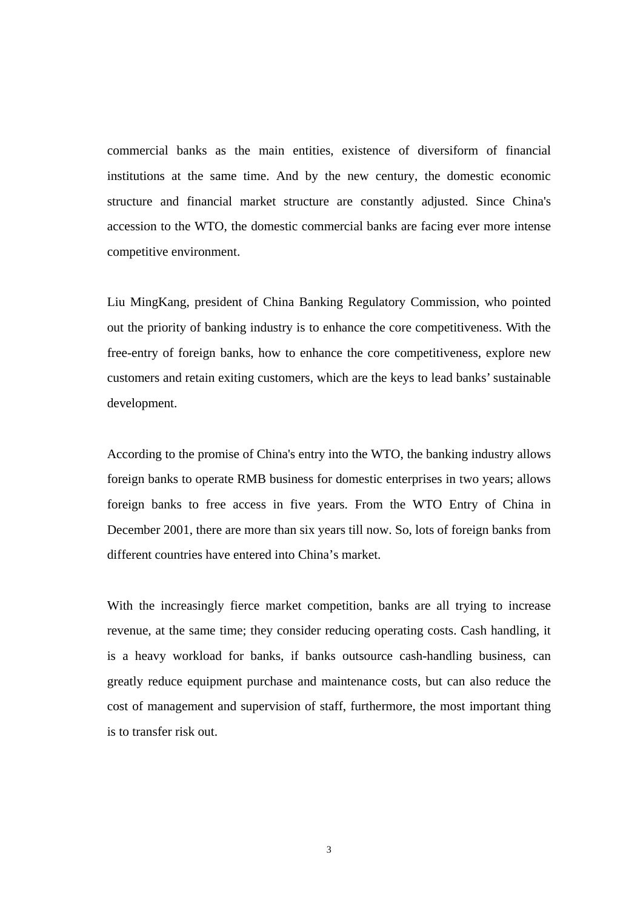commercial banks as the main entities, existence of diversiform of financial institutions at the same time. And by the new century, the domestic economic structure and financial market structure are constantly adjusted. Since China's accession to the WTO, the domestic commercial banks are facing ever more intense competitive environment.

Liu MingKang, president of China Banking Regulatory Commission, who pointed out the priority of banking industry is to enhance the core competitiveness. With the free-entry of foreign banks, how to enhance the core competitiveness, explore new customers and retain exiting customers, which are the keys to lead banks' sustainable development.

According to the promise of China's entry into the WTO, the banking industry allows foreign banks to operate RMB business for domestic enterprises in two years; allows foreign banks to free access in five years. From the WTO Entry of China in December 2001, there are more than six years till now. So, lots of foreign banks from different countries have entered into China's market.

With the increasingly fierce market competition, banks are all trying to increase revenue, at the same time; they consider reducing operating costs. Cash handling, it is a heavy workload for banks, if banks outsource cash-handling business, can greatly reduce equipment purchase and maintenance costs, but can also reduce the cost of management and supervision of staff, furthermore, the most important thing is to transfer risk out.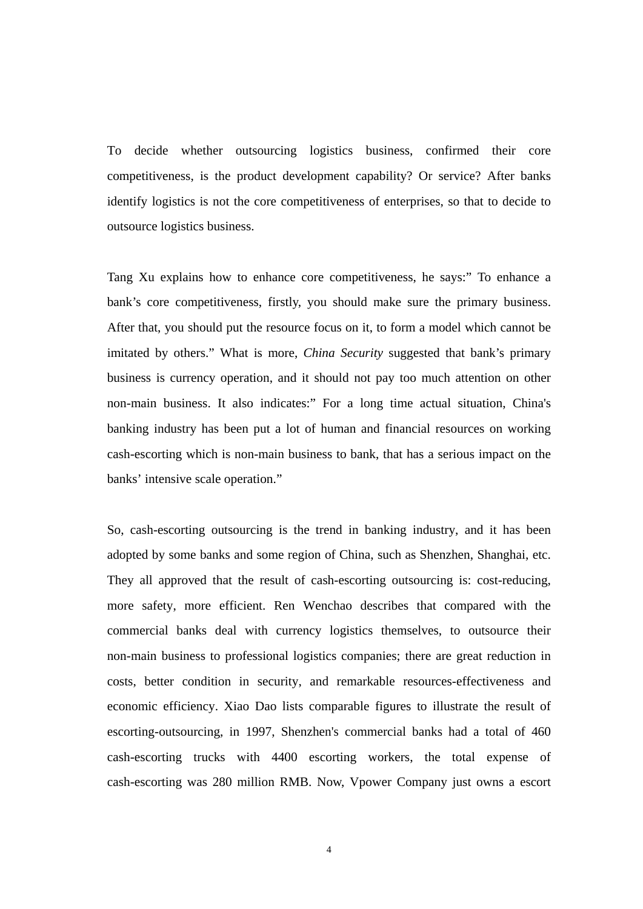To decide whether outsourcing logistics business, confirmed their core competitiveness, is the product development capability? Or service? After banks identify logistics is not the core competitiveness of enterprises, so that to decide to outsource logistics business.

Tang Xu explains how to enhance core competitiveness, he says:" To enhance a bank's core competitiveness, firstly, you should make sure the primary business. After that, you should put the resource focus on it, to form a model which cannot be imitated by others." What is more, *China Security* suggested that bank's primary business is currency operation, and it should not pay too much attention on other non-main business. It also indicates:" For a long time actual situation, China's banking industry has been put a lot of human and financial resources on working cash-escorting which is non-main business to bank, that has a serious impact on the banks' intensive scale operation."

So, cash-escorting outsourcing is the trend in banking industry, and it has been adopted by some banks and some region of China, such as Shenzhen, Shanghai, etc. They all approved that the result of cash-escorting outsourcing is: cost-reducing, more safety, more efficient. Ren Wenchao describes that compared with the commercial banks deal with currency logistics themselves, to outsource their non-main business to professional logistics companies; there are great reduction in costs, better condition in security, and remarkable resources-effectiveness and economic efficiency. Xiao Dao lists comparable figures to illustrate the result of escorting-outsourcing, in 1997, Shenzhen's commercial banks had a total of 460 cash-escorting trucks with 4400 escorting workers, the total expense of cash-escorting was 280 million RMB. Now, Vpower Company just owns a escort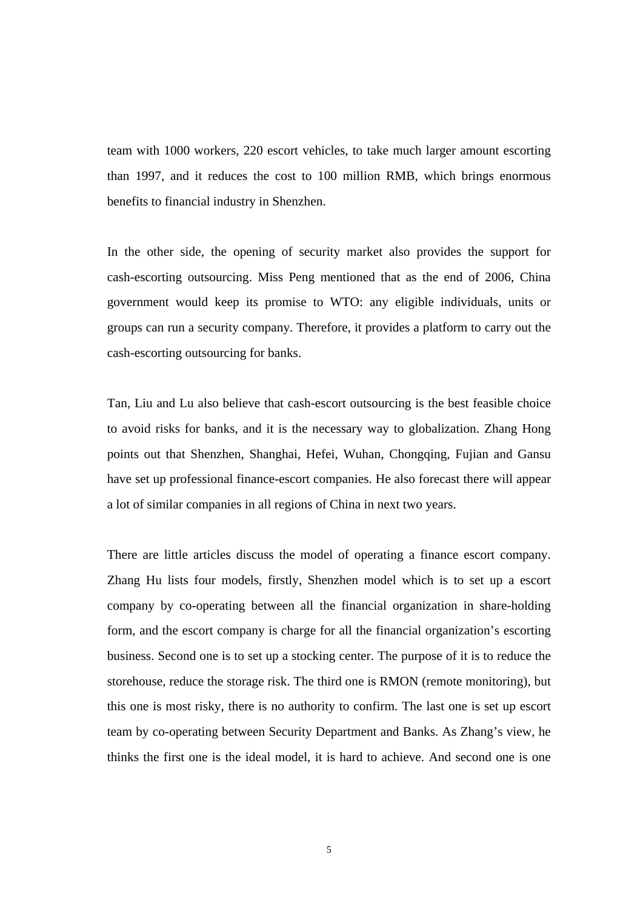team with 1000 workers, 220 escort vehicles, to take much larger amount escorting than 1997, and it reduces the cost to 100 million RMB, which brings enormous benefits to financial industry in Shenzhen.

In the other side, the opening of security market also provides the support for cash-escorting outsourcing. Miss Peng mentioned that as the end of 2006, China government would keep its promise to WTO: any eligible individuals, units or groups can run a security company. Therefore, it provides a platform to carry out the cash-escorting outsourcing for banks.

Tan, Liu and Lu also believe that cash-escort outsourcing is the best feasible choice to avoid risks for banks, and it is the necessary way to globalization. Zhang Hong points out that Shenzhen, Shanghai, Hefei, Wuhan, Chongqing, Fujian and Gansu have set up professional finance-escort companies. He also forecast there will appear a lot of similar companies in all regions of China in next two years.

There are little articles discuss the model of operating a finance escort company. Zhang Hu lists four models, firstly, Shenzhen model which is to set up a escort company by co-operating between all the financial organization in share-holding form, and the escort company is charge for all the financial organization's escorting business. Second one is to set up a stocking center. The purpose of it is to reduce the storehouse, reduce the storage risk. The third one is RMON (remote monitoring), but this one is most risky, there is no authority to confirm. The last one is set up escort team by co-operating between Security Department and Banks. As Zhang's view, he thinks the first one is the ideal model, it is hard to achieve. And second one is one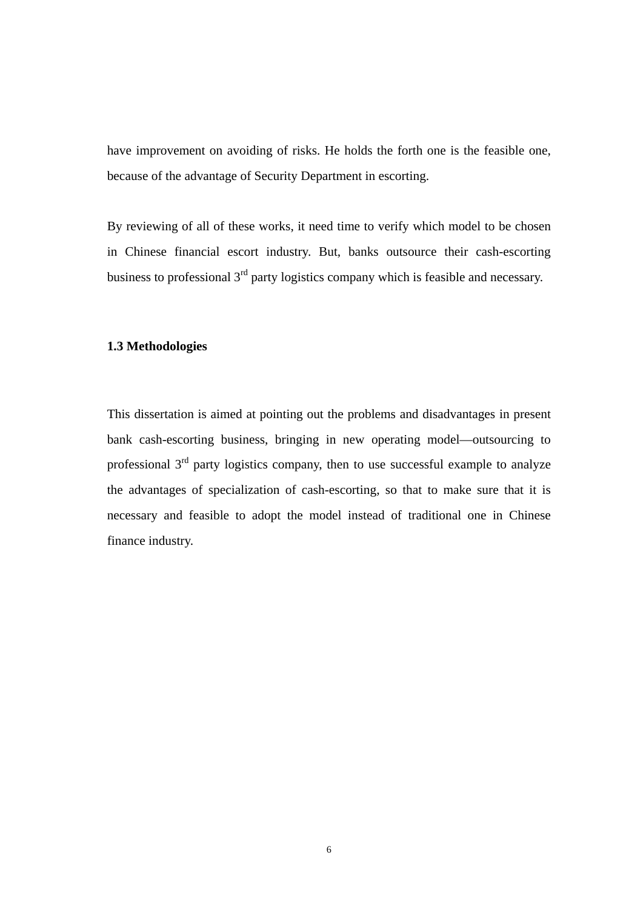<span id="page-16-0"></span>have improvement on avoiding of risks. He holds the forth one is the feasible one, because of the advantage of Security Department in escorting.

By reviewing of all of these works, it need time to verify which model to be chosen in Chinese financial escort industry. But, banks outsource their cash-escorting business to professional 3<sup>rd</sup> party logistics company which is feasible and necessary.

#### **1.3 Methodologies**

This dissertation is aimed at pointing out the problems and disadvantages in present bank cash-escorting business, bringing in new operating model—outsourcing to professional  $3<sup>rd</sup>$  party logistics company, then to use successful example to analyze the advantages of specialization of cash-escorting, so that to make sure that it is necessary and feasible to adopt the model instead of traditional one in Chinese finance industry.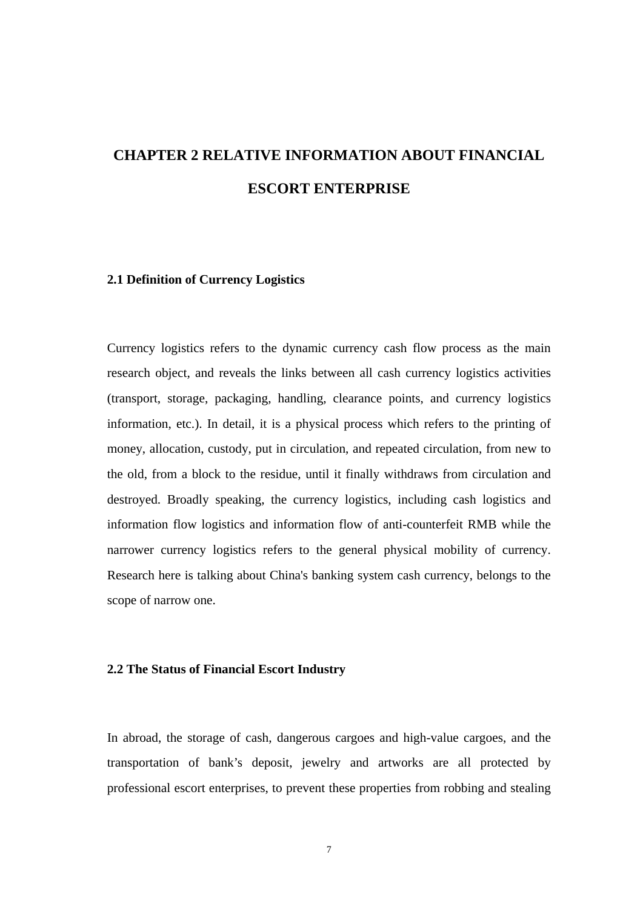# <span id="page-17-0"></span>**CHAPTER 2 RELATIVE INFORMATION ABOUT FINANCIAL ESCORT ENTERPRISE**

#### **2.1 Definition of Currency Logistics**

Currency logistics refers to the dynamic currency cash flow process as the main research object, and reveals the links between all cash currency logistics activities (transport, storage, packaging, handling, clearance points, and currency logistics information, etc.). In detail, it is a physical process which refers to the printing of money, allocation, custody, put in circulation, and repeated circulation, from new to the old, from a block to the residue, until it finally withdraws from circulation and destroyed. Broadly speaking, the currency logistics, including cash logistics and information flow logistics and information flow of anti-counterfeit RMB while the narrower currency logistics refers to the general physical mobility of currency. Research here is talking about China's banking system cash currency, belongs to the scope of narrow one.

#### **2.2 The Status of Financial Escort Industry**

In abroad, the storage of cash, dangerous cargoes and high-value cargoes, and the transportation of bank's deposit, jewelry and artworks are all protected by professional escort enterprises, to prevent these properties from robbing and stealing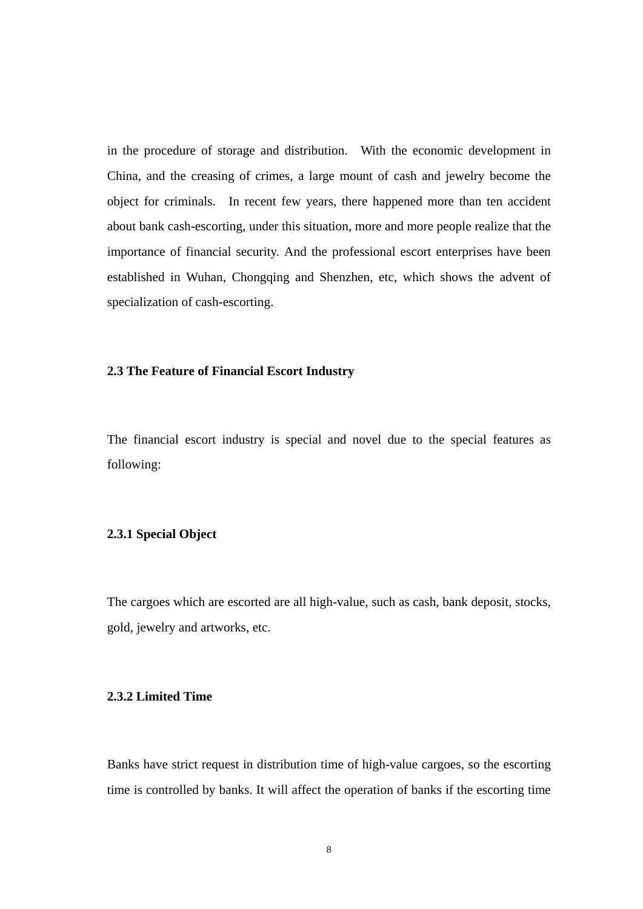<span id="page-18-0"></span>in the procedure of storage and distribution. With the economic development in China, and the creasing of crimes, a large mount of cash and jewelry become the object for criminals. In recent few years, there happened more than ten accident about bank cash-escorting, under this situation, more and more people realize that the importance of financial security. And the professional escort enterprises have been established in Wuhan, Chongqing and Shenzhen, etc, which shows the advent of specialization of cash-escorting.

#### **2.3 The Feature of Financial Escort Industry**

The financial escort industry is special and novel due to the special features as following:

#### **2.3.1 Special Object**

The cargoes which are escorted are all high-value, such as cash, bank deposit, stocks, gold, jewelry and artworks, etc.

#### **2.3.2 Limited Time**

Banks have strict request in distribution time of high-value cargoes, so the escorting time is controlled by banks. It will affect the operation of banks if the escorting time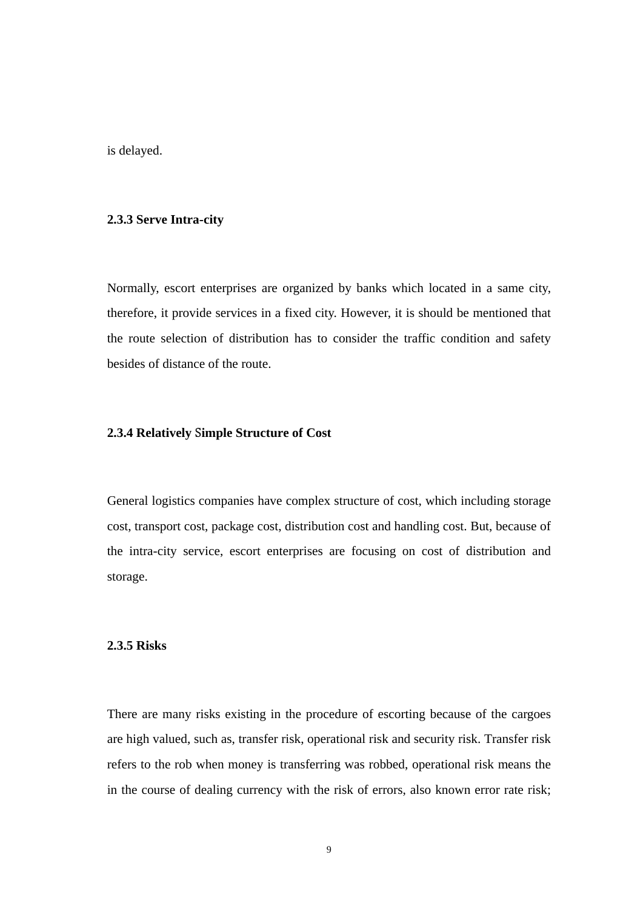<span id="page-19-0"></span>is delayed.

#### **2.3.3 Serve Intra-city**

Normally, escort enterprises are organized by banks which located in a same city, therefore, it provide services in a fixed city. However, it is should be mentioned that the route selection of distribution has to consider the traffic condition and safety besides of distance of the route.

#### **2.3.4 Relatively** S**imple Structure of Cost**

General logistics companies have complex structure of cost, which including storage cost, transport cost, package cost, distribution cost and handling cost. But, because of the intra-city service, escort enterprises are focusing on cost of distribution and storage.

#### **2.3.5 Risks**

There are many risks existing in the procedure of escorting because of the cargoes are high valued, such as, transfer risk, operational risk and security risk. Transfer risk refers to the rob when money is transferring was robbed, operational risk means the in the course of dealing currency with the risk of errors, also known error rate risk;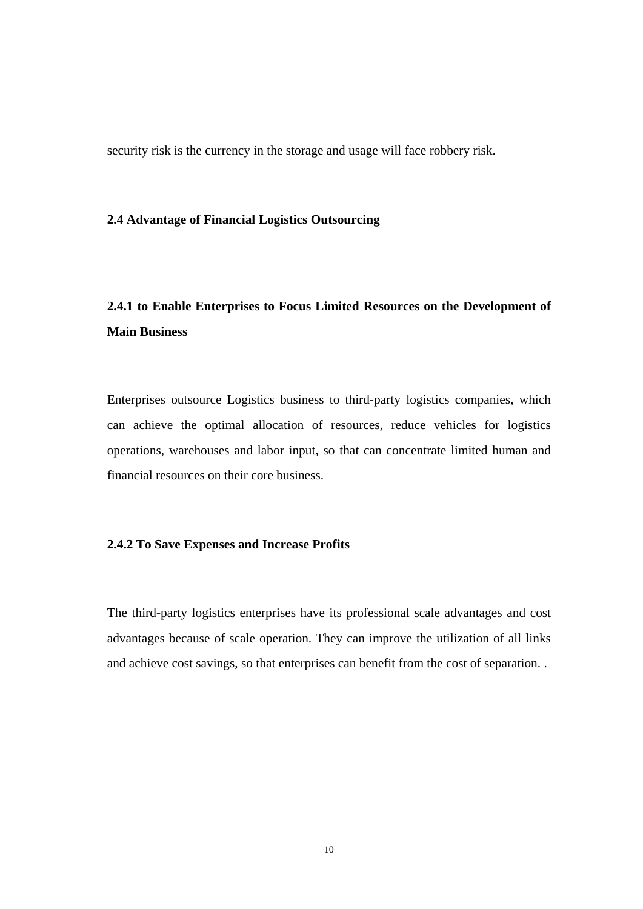<span id="page-20-0"></span>security risk is the currency in the storage and usage will face robbery risk.

#### **2.4 Advantage of Financial Logistics Outsourcing**

# **2.4.1 to Enable Enterprises to Focus Limited Resources on the Development of Main Business**

Enterprises outsource Logistics business to third-party logistics companies, which can achieve the optimal allocation of resources, reduce vehicles for logistics operations, warehouses and labor input, so that can concentrate limited human and financial resources on their core business.

#### **2.4.2 To Save Expenses and Increase Profits**

The third-party logistics enterprises have its professional scale advantages and cost advantages because of scale operation. They can improve the utilization of all links and achieve cost savings, so that enterprises can benefit from the cost of separation. .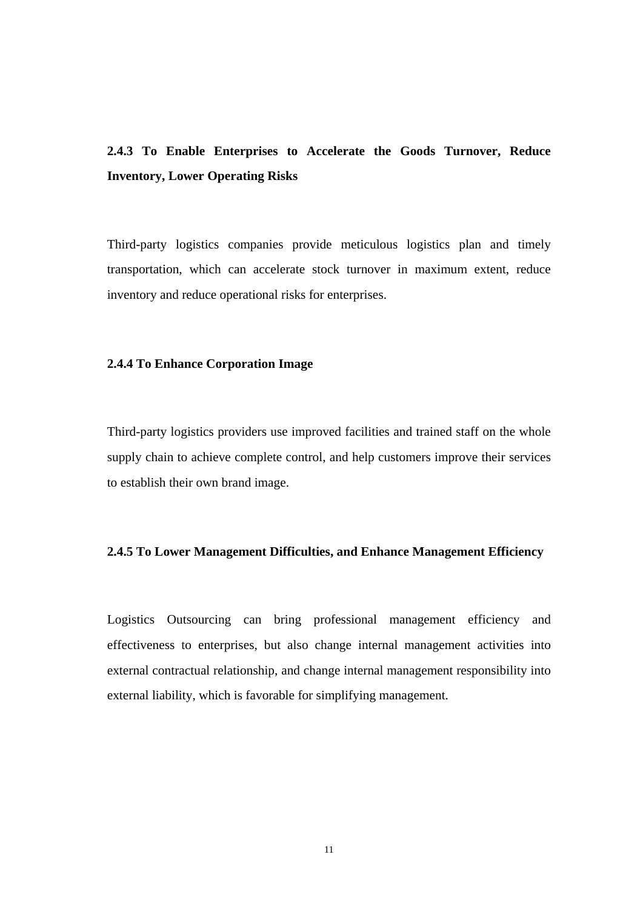# <span id="page-21-0"></span>**2.4.3 To Enable Enterprises to Accelerate the Goods Turnover, Reduce Inventory, Lower Operating Risks**

Third-party logistics companies provide meticulous logistics plan and timely transportation, which can accelerate stock turnover in maximum extent, reduce inventory and reduce operational risks for enterprises.

#### **2.4.4 To Enhance Corporation Image**

Third-party logistics providers use improved facilities and trained staff on the whole supply chain to achieve complete control, and help customers improve their services to establish their own brand image.

### **2.4.5 To Lower Management Difficulties, and Enhance Management Efficiency**

Logistics Outsourcing can bring professional management efficiency and effectiveness to enterprises, but also change internal management activities into external contractual relationship, and change internal management responsibility into external liability, which is favorable for simplifying management.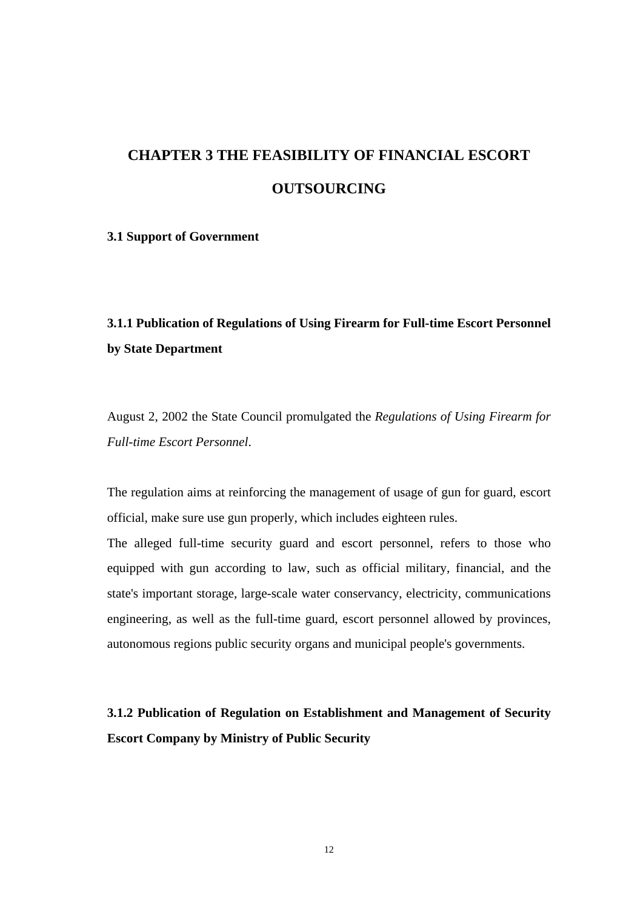# <span id="page-22-0"></span>**CHAPTER 3 THE FEASIBILITY OF FINANCIAL ESCORT OUTSOURCING**

#### **3.1 Support of Government**

## **3.1.1 Publication of Regulations of Using Firearm for Full-time Escort Personnel by State Department**

August 2, 2002 the State Council promulgated the *Regulations of Using Firearm for Full-time Escort Personnel*.

The regulation aims at reinforcing the management of usage of gun for guard, escort official, make sure use gun properly, which includes eighteen rules.

The alleged full-time security guard and escort personnel, refers to those who equipped with gun according to law, such as official military, financial, and the state's important storage, large-scale water conservancy, electricity, communications engineering, as well as the full-time guard, escort personnel allowed by provinces, autonomous regions public security organs and municipal people's governments.

**3.1.2 Publication of Regulation on Establishment and Management of Security Escort Company by Ministry of Public Security**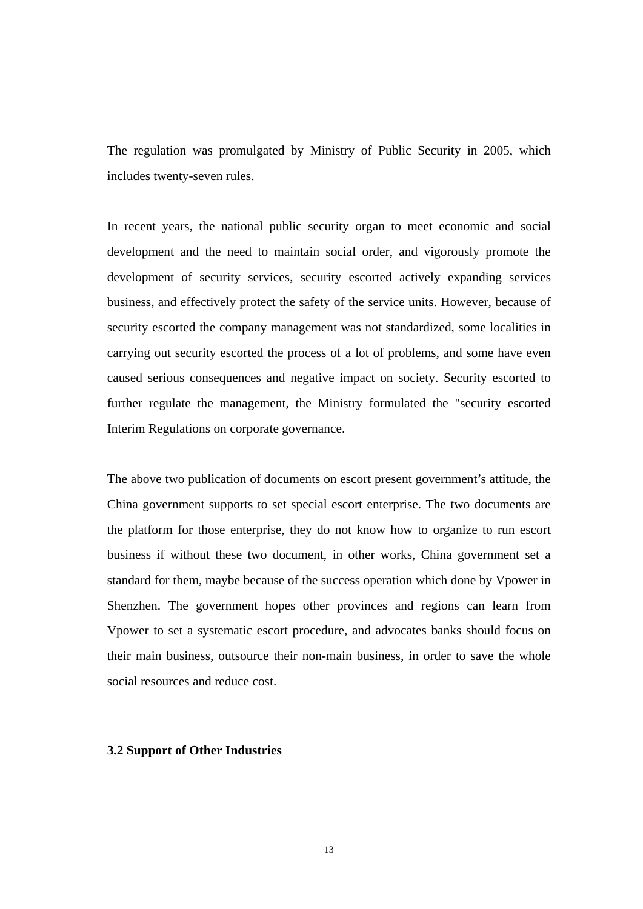<span id="page-23-0"></span>The regulation was promulgated by Ministry of Public Security in 2005, which includes twenty-seven rules.

In recent years, the national public security organ to meet economic and social development and the need to maintain social order, and vigorously promote the development of security services, security escorted actively expanding services business, and effectively protect the safety of the service units. However, because of security escorted the company management was not standardized, some localities in carrying out security escorted the process of a lot of problems, and some have even caused serious consequences and negative impact on society. Security escorted to further regulate the management, the Ministry formulated the "security escorted Interim Regulations on corporate governance.

The above two publication of documents on escort present government's attitude, the China government supports to set special escort enterprise. The two documents are the platform for those enterprise, they do not know how to organize to run escort business if without these two document, in other works, China government set a standard for them, maybe because of the success operation which done by Vpower in Shenzhen. The government hopes other provinces and regions can learn from Vpower to set a systematic escort procedure, and advocates banks should focus on their main business, outsource their non-main business, in order to save the whole social resources and reduce cost.

#### **3.2 Support of Other Industries**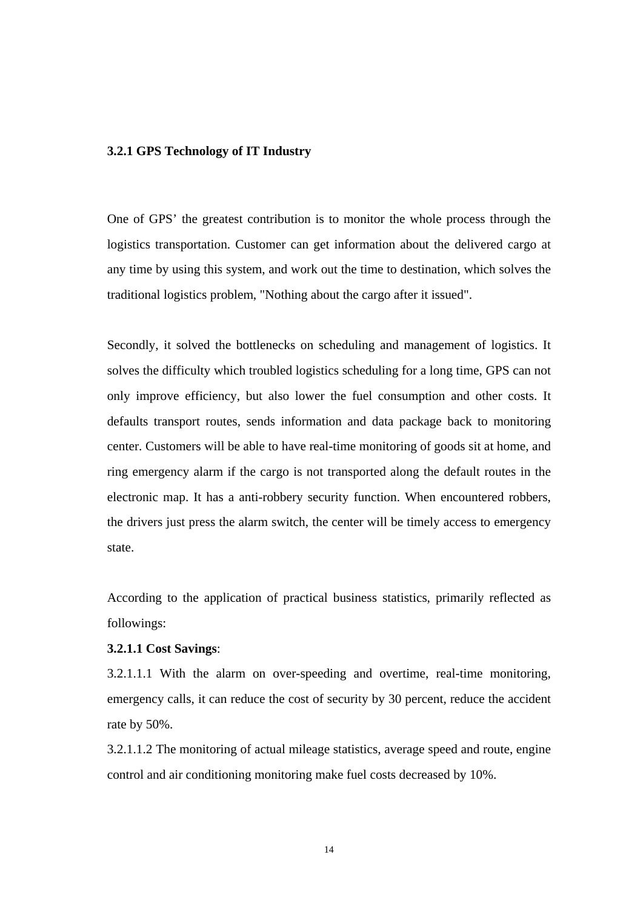#### <span id="page-24-0"></span>**3.2.1 GPS Technology of IT Industry**

One of GPS' the greatest contribution is to monitor the whole process through the logistics transportation. Customer can get information about the delivered cargo at any time by using this system, and work out the time to destination, which solves the traditional logistics problem, "Nothing about the cargo after it issued".

Secondly, it solved the bottlenecks on scheduling and management of logistics. It solves the difficulty which troubled logistics scheduling for a long time, GPS can not only improve efficiency, but also lower the fuel consumption and other costs. It defaults transport routes, sends information and data package back to monitoring center. Customers will be able to have real-time monitoring of goods sit at home, and ring emergency alarm if the cargo is not transported along the default routes in the electronic map. It has a anti-robbery security function. When encountered robbers, the drivers just press the alarm switch, the center will be timely access to emergency state.

According to the application of practical business statistics, primarily reflected as followings:

#### **3.2.1.1 Cost Savings**:

3.2.1.1.1 With the alarm on over-speeding and overtime, real-time monitoring, emergency calls, it can reduce the cost of security by 30 percent, reduce the accident rate by 50%.

3.2.1.1.2 The monitoring of actual mileage statistics, average speed and route, engine control and air conditioning monitoring make fuel costs decreased by 10%.

14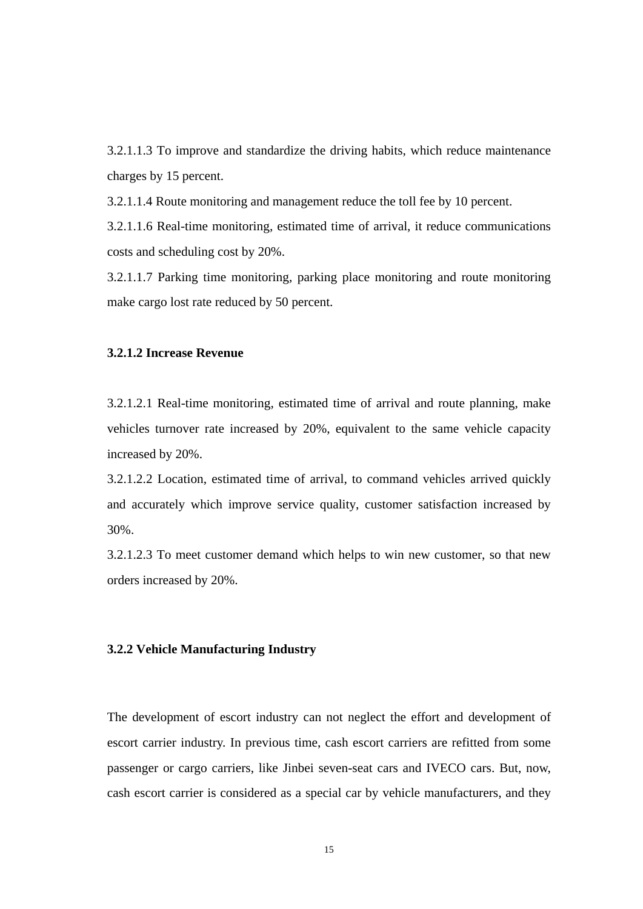<span id="page-25-0"></span>3.2.1.1.3 To improve and standardize the driving habits, which reduce maintenance charges by 15 percent.

3.2.1.1.4 Route monitoring and management reduce the toll fee by 10 percent.

3.2.1.1.6 Real-time monitoring, estimated time of arrival, it reduce communications costs and scheduling cost by 20%.

3.2.1.1.7 Parking time monitoring, parking place monitoring and route monitoring make cargo lost rate reduced by 50 percent.

### **3.2.1.2 Increase Revenue**

3.2.1.2.1 Real-time monitoring, estimated time of arrival and route planning, make vehicles turnover rate increased by 20%, equivalent to the same vehicle capacity increased by 20%.

3.2.1.2.2 Location, estimated time of arrival, to command vehicles arrived quickly and accurately which improve service quality, customer satisfaction increased by 30%.

3.2.1.2.3 To meet customer demand which helps to win new customer, so that new orders increased by 20%.

#### **3.2.2 Vehicle Manufacturing Industry**

The development of escort industry can not neglect the effort and development of escort carrier industry. In previous time, cash escort carriers are refitted from some passenger or cargo carriers, like Jinbei seven-seat cars and IVECO cars. But, now, cash escort carrier is considered as a special car by vehicle manufacturers, and they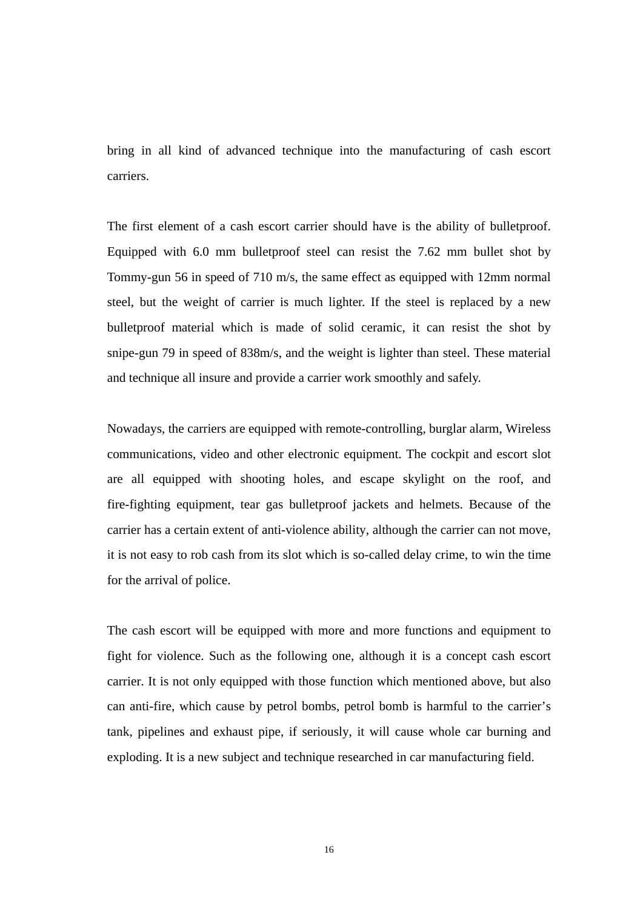bring in all kind of advanced technique into the manufacturing of cash escort carriers.

The first element of a cash escort carrier should have is the ability of bulletproof. Equipped with 6.0 mm bulletproof steel can resist the 7.62 mm bullet shot by Tommy-gun 56 in speed of 710 m/s, the same effect as equipped with 12mm normal steel, but the weight of carrier is much lighter. If the steel is replaced by a new bulletproof material which is made of solid ceramic, it can resist the shot by snipe-gun 79 in speed of 838m/s, and the weight is lighter than steel. These material and technique all insure and provide a carrier work smoothly and safely.

Nowadays, the carriers are equipped with remote-controlling, burglar alarm, Wireless communications, video and other electronic equipment. The cockpit and escort slot are all equipped with shooting holes, and escape skylight on the roof, and fire-fighting equipment, tear gas bulletproof jackets and helmets. Because of the carrier has a certain extent of anti-violence ability, although the carrier can not move, it is not easy to rob cash from its slot which is so-called delay crime, to win the time for the arrival of police.

The cash escort will be equipped with more and more functions and equipment to fight for violence. Such as the following one, although it is a concept cash escort carrier. It is not only equipped with those function which mentioned above, but also can anti-fire, which cause by petrol bombs, petrol bomb is harmful to the carrier's tank, pipelines and exhaust pipe, if seriously, it will cause whole car burning and exploding. It is a new subject and technique researched in car manufacturing field.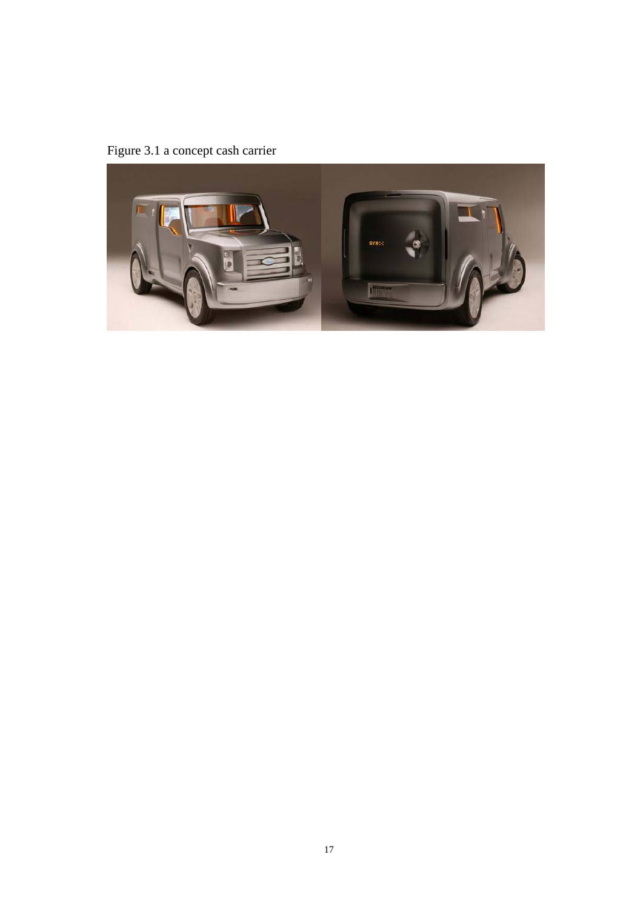<span id="page-27-0"></span>Figure 3.1 a concept cash carrier

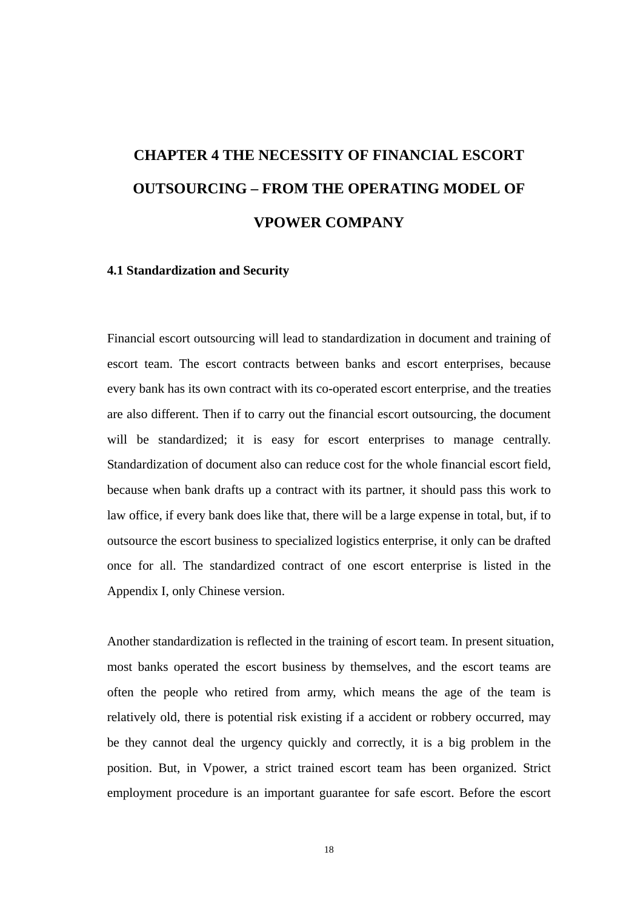# <span id="page-28-0"></span>**CHAPTER 4 THE NECESSITY OF FINANCIAL ESCORT OUTSOURCING – FROM THE OPERATING MODEL OF VPOWER COMPANY**

#### **4.1 Standardization and Security**

Financial escort outsourcing will lead to standardization in document and training of escort team. The escort contracts between banks and escort enterprises, because every bank has its own contract with its co-operated escort enterprise, and the treaties are also different. Then if to carry out the financial escort outsourcing, the document will be standardized; it is easy for escort enterprises to manage centrally. Standardization of document also can reduce cost for the whole financial escort field, because when bank drafts up a contract with its partner, it should pass this work to law office, if every bank does like that, there will be a large expense in total, but, if to outsource the escort business to specialized logistics enterprise, it only can be drafted once for all. The standardized contract of one escort enterprise is listed in the Appendix I, only Chinese version.

Another standardization is reflected in the training of escort team. In present situation, most banks operated the escort business by themselves, and the escort teams are often the people who retired from army, which means the age of the team is relatively old, there is potential risk existing if a accident or robbery occurred, may be they cannot deal the urgency quickly and correctly, it is a big problem in the position. But, in Vpower, a strict trained escort team has been organized. Strict employment procedure is an important guarantee for safe escort. Before the escort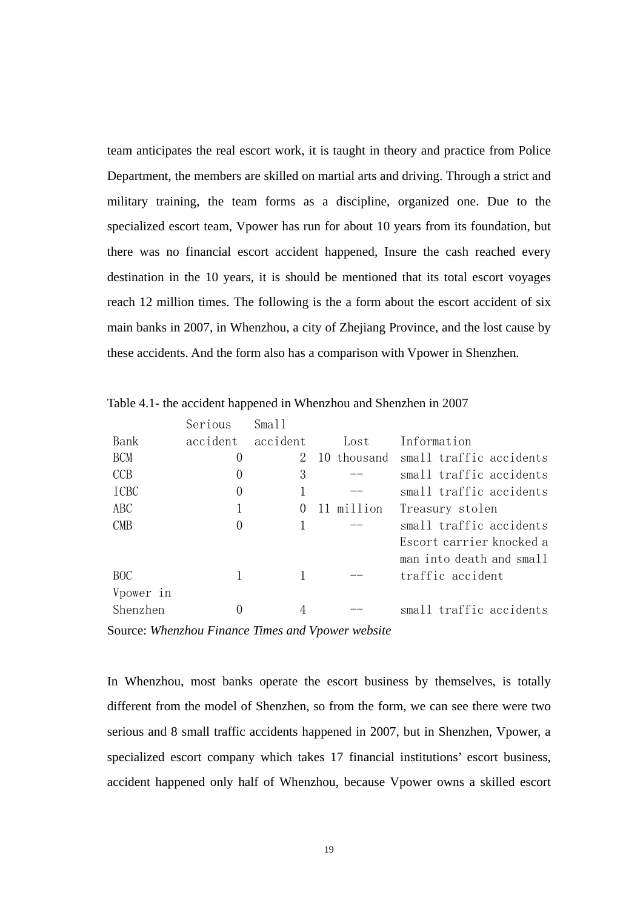<span id="page-29-0"></span>team anticipates the real escort work, it is taught in theory and practice from Police Department, the members are skilled on martial arts and driving. Through a strict and military training, the team forms as a discipline, organized one. Due to the specialized escort team, Vpower has run for about 10 years from its foundation, but there was no financial escort accident happened, Insure the cash reached every destination in the 10 years, it is should be mentioned that its total escort voyages reach 12 million times. The following is the a form about the escort accident of six main banks in 2007, in Whenzhou, a city of Zhejiang Province, and the lost cause by these accidents. And the form also has a comparison with Vpower in Shenzhen.

|             | Serious  | Small    |             |                          |
|-------------|----------|----------|-------------|--------------------------|
| Bank        | accident | accident | Lost        | Information              |
| <b>BCM</b>  | 0        | 2        | 10 thousand | small traffic accidents  |
| <b>CCB</b>  | $\theta$ | 3        |             | small traffic accidents  |
| <b>ICBC</b> | $\theta$ |          |             | small traffic accidents  |
| ABC         |          | $\theta$ | 11 million  | Treasury stolen          |
| <b>CMB</b>  | $\theta$ |          |             | small traffic accidents  |
|             |          |          |             | Escort carrier knocked a |
|             |          |          |             | man into death and small |
| BOC.        |          |          |             | traffic accident         |
| Vpower in   |          |          |             |                          |
| Shenzhen    |          |          |             | small traffic accidents  |

Table 4.1- the accident happened in Whenzhou and Shenzhen in 2007

Source: *Whenzhou Finance Times and Vpower website* 

In Whenzhou, most banks operate the escort business by themselves, is totally different from the model of Shenzhen, so from the form, we can see there were two serious and 8 small traffic accidents happened in 2007, but in Shenzhen, Vpower, a specialized escort company which takes 17 financial institutions' escort business, accident happened only half of Whenzhou, because Vpower owns a skilled escort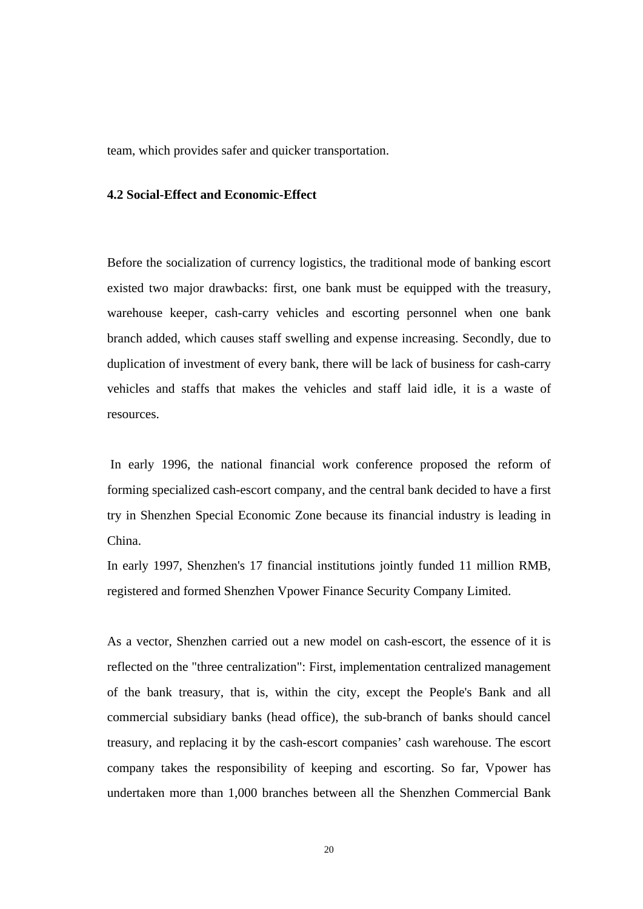<span id="page-30-0"></span>team, which provides safer and quicker transportation.

#### **4.2 Social-Effect and Economic-Effect**

Before the socialization of currency logistics, the traditional mode of banking escort existed two major drawbacks: first, one bank must be equipped with the treasury, warehouse keeper, cash-carry vehicles and escorting personnel when one bank branch added, which causes staff swelling and expense increasing. Secondly, due to duplication of investment of every bank, there will be lack of business for cash-carry vehicles and staffs that makes the vehicles and staff laid idle, it is a waste of resources.

 In early 1996, the national financial work conference proposed the reform of forming specialized cash-escort company, and the central bank decided to have a first try in Shenzhen Special Economic Zone because its financial industry is leading in China.

In early 1997, Shenzhen's 17 financial institutions jointly funded 11 million RMB, registered and formed Shenzhen Vpower Finance Security Company Limited.

As a vector, Shenzhen carried out a new model on cash-escort, the essence of it is reflected on the "three centralization": First, implementation centralized management of the bank treasury, that is, within the city, except the People's Bank and all commercial subsidiary banks (head office), the sub-branch of banks should cancel treasury, and replacing it by the cash-escort companies' cash warehouse. The escort company takes the responsibility of keeping and escorting. So far, Vpower has undertaken more than 1,000 branches between all the Shenzhen Commercial Bank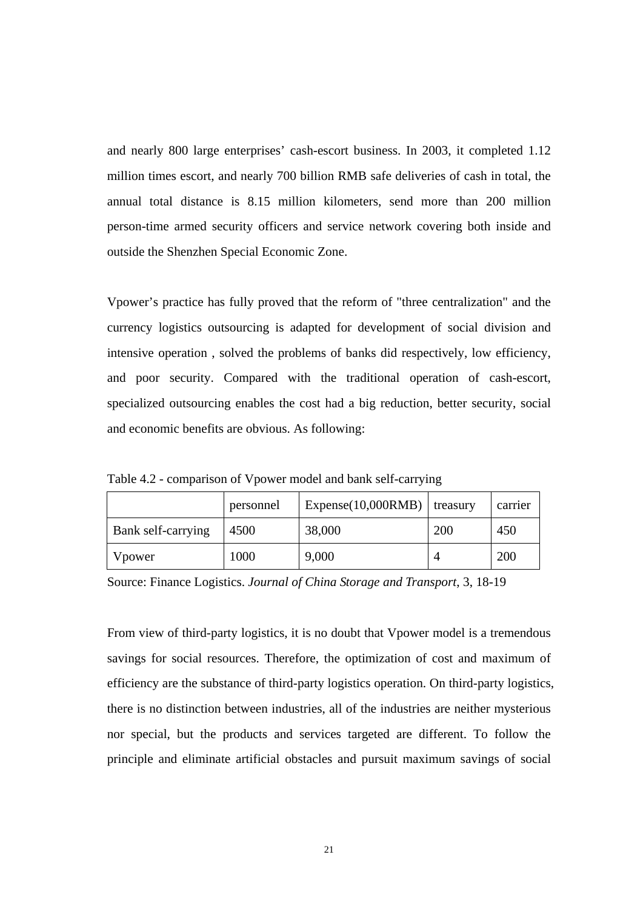<span id="page-31-0"></span>and nearly 800 large enterprises' cash-escort business. In 2003, it completed 1.12 million times escort, and nearly 700 billion RMB safe deliveries of cash in total, the annual total distance is 8.15 million kilometers, send more than 200 million person-time armed security officers and service network covering both inside and outside the Shenzhen Special Economic Zone.

Vpower's practice has fully proved that the reform of "three centralization" and the currency logistics outsourcing is adapted for development of social division and intensive operation , solved the problems of banks did respectively, low efficiency, and poor security. Compared with the traditional operation of cash-escort, specialized outsourcing enables the cost had a big reduction, better security, social and economic benefits are obvious. As following:

|                    | personnel | Expense(10,000RMB) | treasury   | carrier    |
|--------------------|-----------|--------------------|------------|------------|
| Bank self-carrying | 4500      | 38,000             | <b>200</b> | 450        |
| Vpower             | 1000      | 9,000              |            | <b>200</b> |

Table 4.2 - comparison of Vpower model and bank self-carrying

Source: Finance Logistics. *Journal of China Storage and Transport*, 3, 18-19

From view of third-party logistics, it is no doubt that Vpower model is a tremendous savings for social resources. Therefore, the optimization of cost and maximum of efficiency are the substance of third-party logistics operation. On third-party logistics, there is no distinction between industries, all of the industries are neither mysterious nor special, but the products and services targeted are different. To follow the principle and eliminate artificial obstacles and pursuit maximum savings of social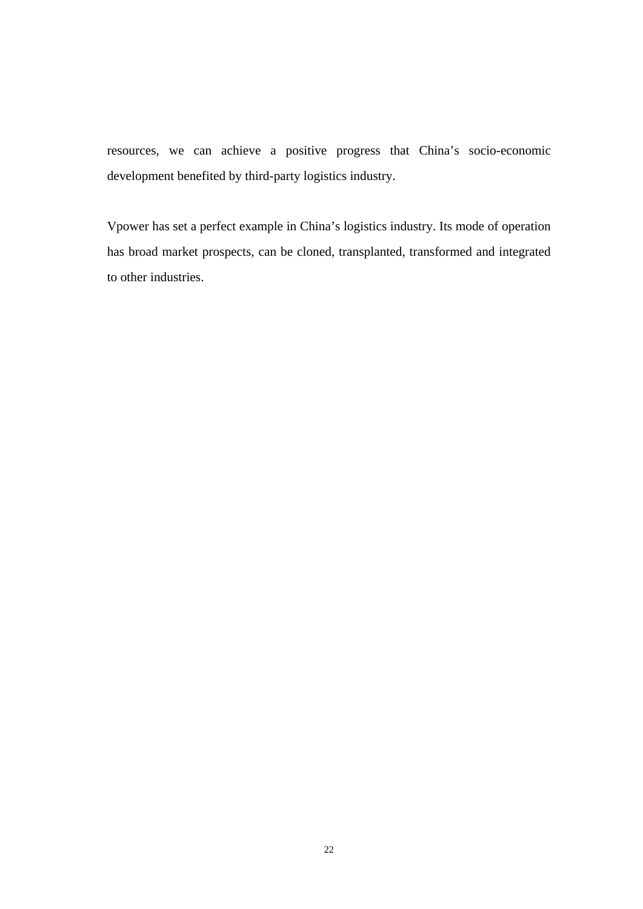resources, we can achieve a positive progress that China's socio-economic development benefited by third-party logistics industry.

Vpower has set a perfect example in China's logistics industry. Its mode of operation has broad market prospects, can be cloned, transplanted, transformed and integrated to other industries.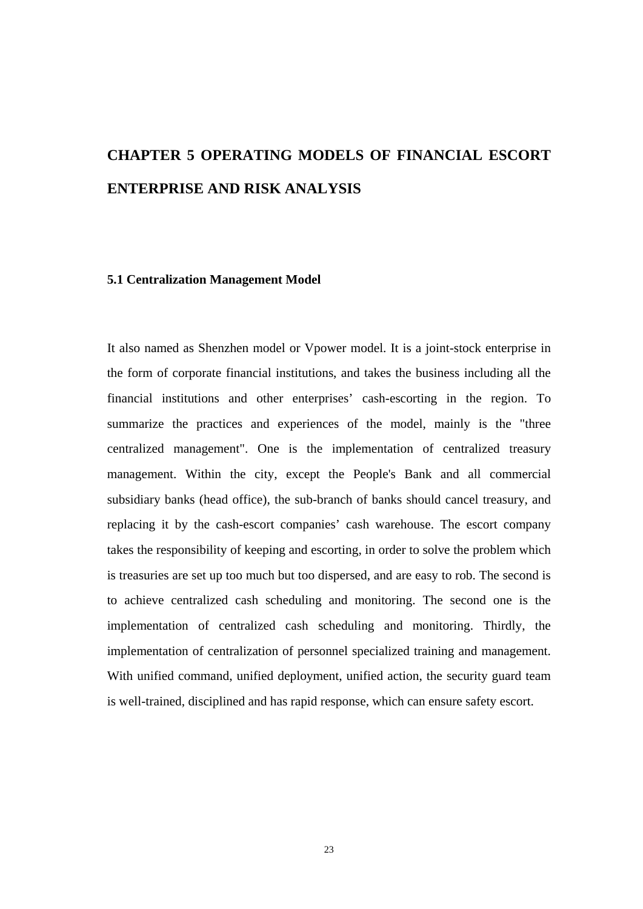# <span id="page-33-0"></span>**CHAPTER 5 OPERATING MODELS OF FINANCIAL ESCORT ENTERPRISE AND RISK ANALYSIS**

#### **5.1 Centralization Management Model**

It also named as Shenzhen model or Vpower model. It is a joint-stock enterprise in the form of corporate financial institutions, and takes the business including all the financial institutions and other enterprises' cash-escorting in the region. To summarize the practices and experiences of the model, mainly is the "three centralized management". One is the implementation of centralized treasury management. Within the city, except the People's Bank and all commercial subsidiary banks (head office), the sub-branch of banks should cancel treasury, and replacing it by the cash-escort companies' cash warehouse. The escort company takes the responsibility of keeping and escorting, in order to solve the problem which is treasuries are set up too much but too dispersed, and are easy to rob. The second is to achieve centralized cash scheduling and monitoring. The second one is the implementation of centralized cash scheduling and monitoring. Thirdly, the implementation of centralization of personnel specialized training and management. With unified command, unified deployment, unified action, the security guard team is well-trained, disciplined and has rapid response, which can ensure safety escort.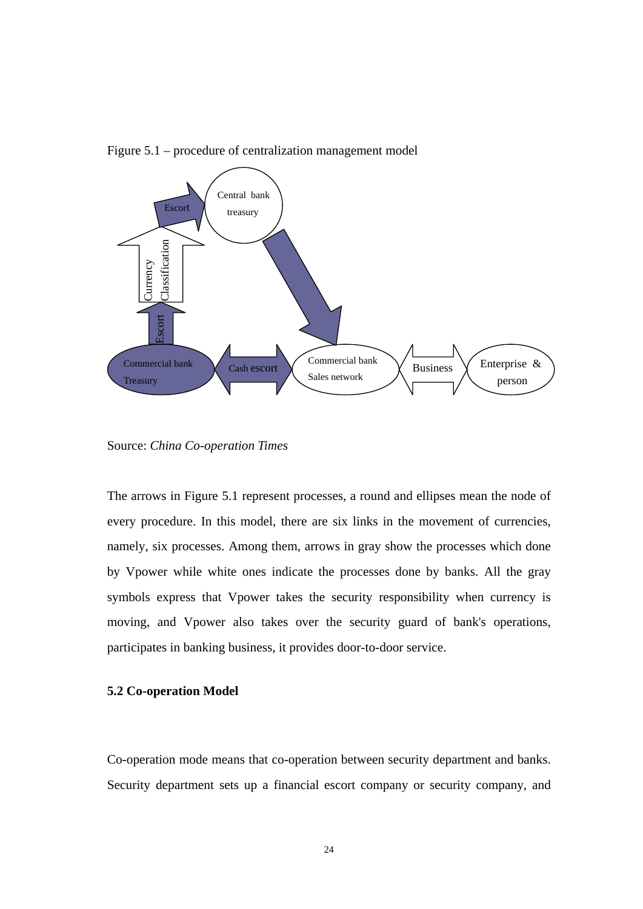

<span id="page-34-0"></span>Figure 5.1 – procedure of centralization management model

Source: *China Co-operation Times*

The arrows in Figure 5.1 represent processes, a round and ellipses mean the node of every procedure. In this model, there are six links in the movement of currencies, namely, six processes. Among them, arrows in gray show the processes which done by Vpower while white ones indicate the processes done by banks. All the gray symbols express that Vpower takes the security responsibility when currency is moving, and Vpower also takes over the security guard of bank's operations, participates in banking business, it provides door-to-door service.

### **5.2 Co-operation Model**

Co-operation mode means that co-operation between security department and banks. Security department sets up a financial escort company or security company, and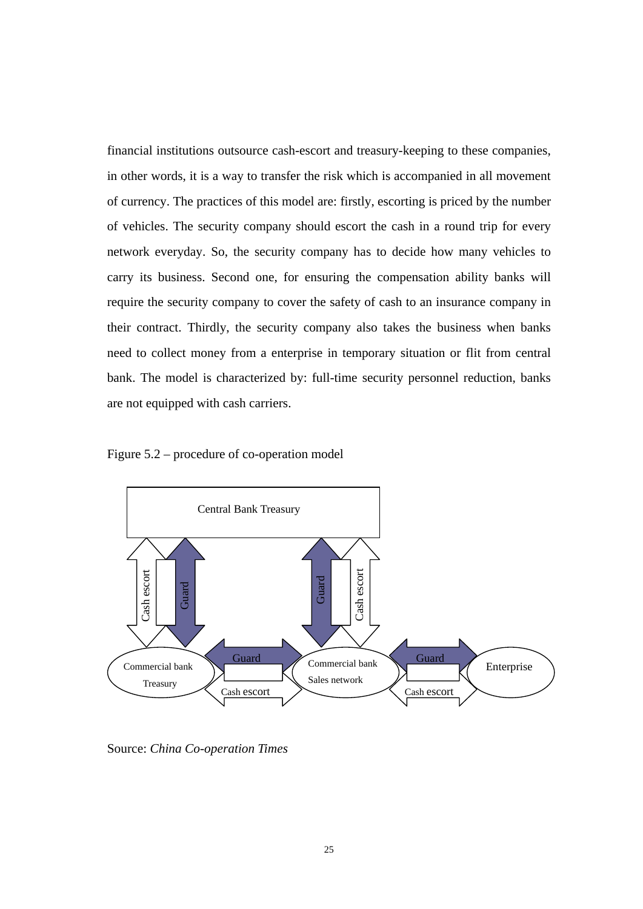<span id="page-35-0"></span>financial institutions outsource cash-escort and treasury-keeping to these companies, in other words, it is a way to transfer the risk which is accompanied in all movement of currency. The practices of this model are: firstly, escorting is priced by the number of vehicles. The security company should escort the cash in a round trip for every network everyday. So, the security company has to decide how many vehicles to carry its business. Second one, for ensuring the compensation ability banks will require the security company to cover the safety of cash to an insurance company in their contract. Thirdly, the security company also takes the business when banks need to collect money from a enterprise in temporary situation or flit from central bank. The model is characterized by: full-time security personnel reduction, banks are not equipped with cash carriers.





Source: *China Co-operation Times*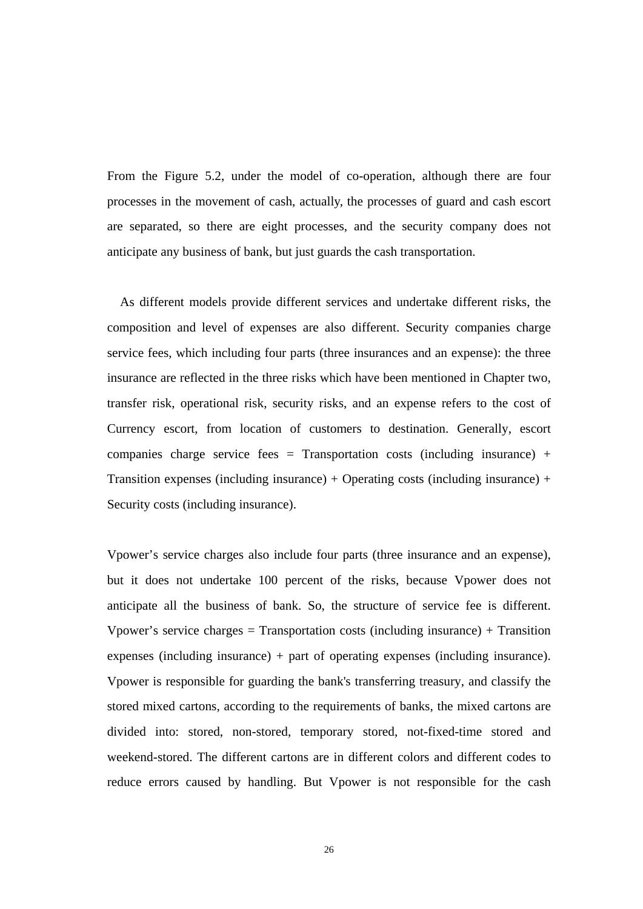From the Figure 5.2, under the model of co-operation, although there are four processes in the movement of cash, actually, the processes of guard and cash escort are separated, so there are eight processes, and the security company does not anticipate any business of bank, but just guards the cash transportation.

As different models provide different services and undertake different risks, the composition and level of expenses are also different. Security companies charge service fees, which including four parts (three insurances and an expense): the three insurance are reflected in the three risks which have been mentioned in Chapter two, transfer risk, operational risk, security risks, and an expense refers to the cost of Currency escort, from location of customers to destination. Generally, escort companies charge service fees = Transportation costs (including insurance) + Transition expenses (including insurance) + Operating costs (including insurance) + Security costs (including insurance).

Vpower's service charges also include four parts (three insurance and an expense), but it does not undertake 100 percent of the risks, because Vpower does not anticipate all the business of bank. So, the structure of service fee is different. Vpower's service charges  $=$  Transportation costs (including insurance)  $+$  Transition expenses (including insurance) + part of operating expenses (including insurance). Vpower is responsible for guarding the bank's transferring treasury, and classify the stored mixed cartons, according to the requirements of banks, the mixed cartons are divided into: stored, non-stored, temporary stored, not-fixed-time stored and weekend-stored. The different cartons are in different colors and different codes to reduce errors caused by handling. But Vpower is not responsible for the cash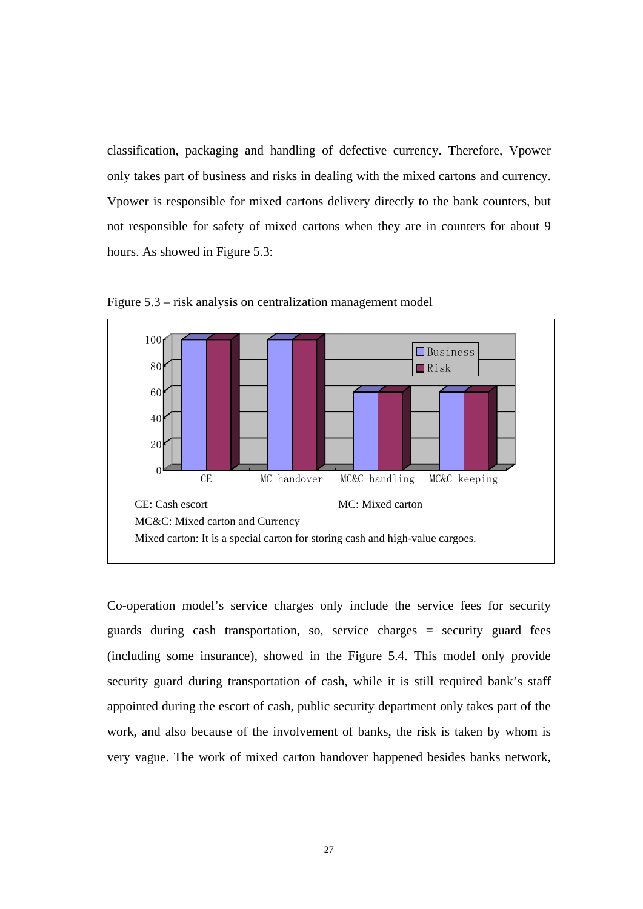<span id="page-37-0"></span>classification, packaging and handling of defective currency. Therefore, Vpower only takes part of business and risks in dealing with the mixed cartons and currency. Vpower is responsible for mixed cartons delivery directly to the bank counters, but not responsible for safety of mixed cartons when they are in counters for about 9 hours. As showed in Figure 5.3:



Figure 5.3 – risk analysis on centralization management model

Co-operation model's service charges only include the service fees for security guards during cash transportation, so, service charges = security guard fees (including some insurance), showed in the Figure 5.4. This model only provide security guard during transportation of cash, while it is still required bank's staff appointed during the escort of cash, public security department only takes part of the work, and also because of the involvement of banks, the risk is taken by whom is very vague. The work of mixed carton handover happened besides banks network,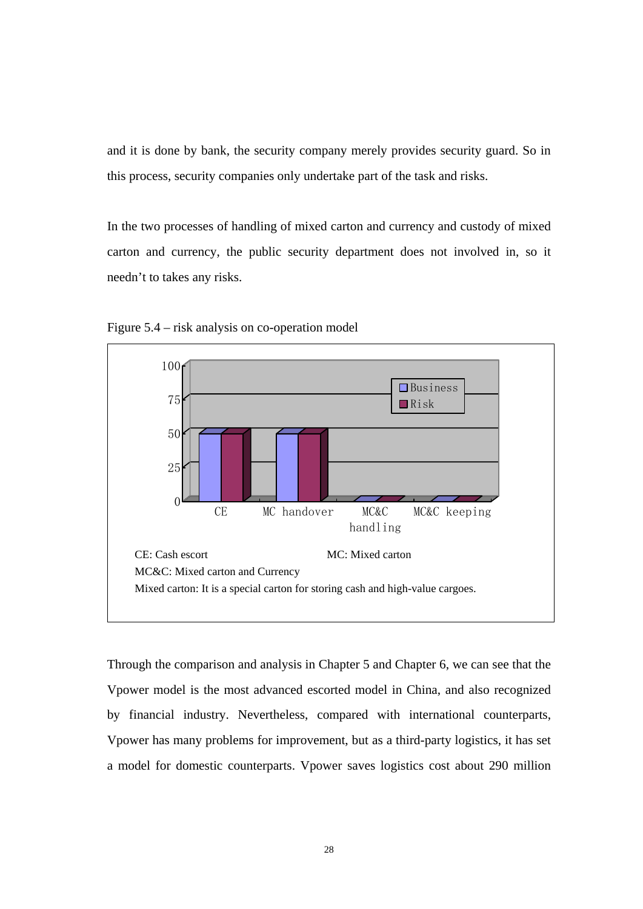<span id="page-38-0"></span>and it is done by bank, the security company merely provides security guard. So in this process, security companies only undertake part of the task and risks.

In the two processes of handling of mixed carton and currency and custody of mixed carton and currency, the public security department does not involved in, so it needn't to takes any risks.



Figure 5.4 – risk analysis on co-operation model

Through the comparison and analysis in Chapter 5 and Chapter 6, we can see that the Vpower model is the most advanced escorted model in China, and also recognized by financial industry. Nevertheless, compared with international counterparts, Vpower has many problems for improvement, but as a third-party logistics, it has set a model for domestic counterparts. Vpower saves logistics cost about 290 million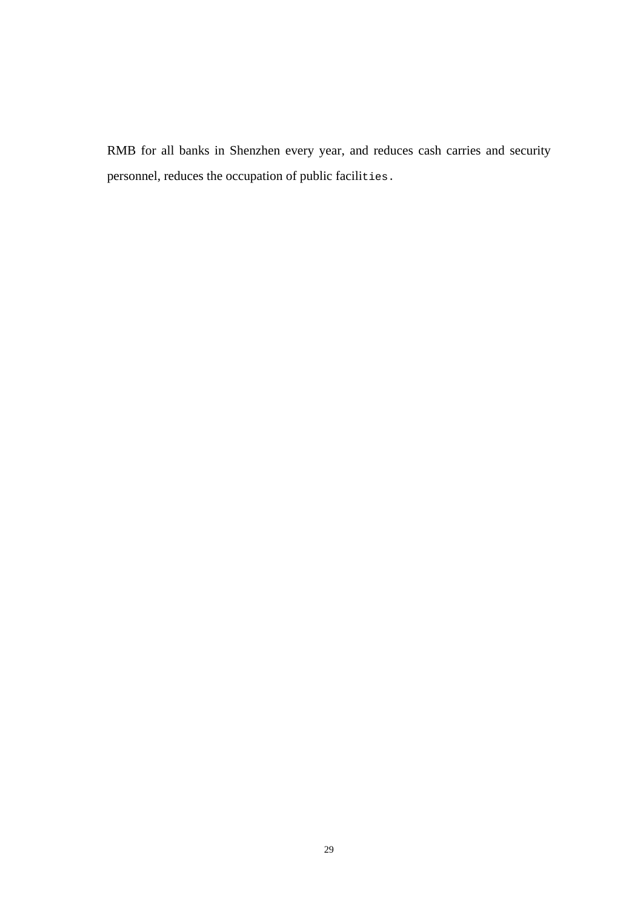RMB for all banks in Shenzhen every year, and reduces cash carries and security personnel, reduces the occupation of public facilities.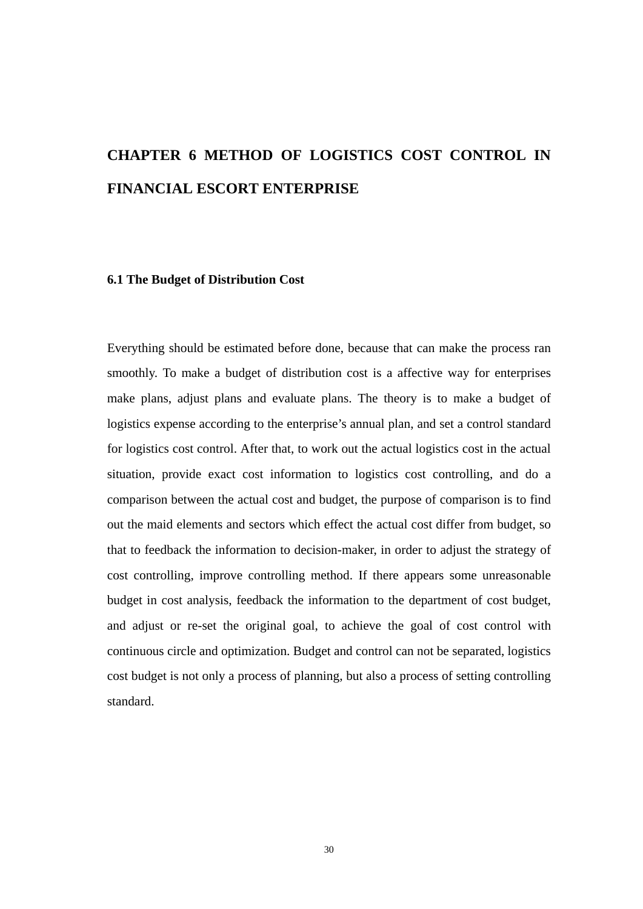# <span id="page-40-0"></span>**CHAPTER 6 METHOD OF LOGISTICS COST CONTROL IN FINANCIAL ESCORT ENTERPRISE**

#### **6.1 The Budget of Distribution Cost**

Everything should be estimated before done, because that can make the process ran smoothly. To make a budget of distribution cost is a affective way for enterprises make plans, adjust plans and evaluate plans. The theory is to make a budget of logistics expense according to the enterprise's annual plan, and set a control standard for logistics cost control. After that, to work out the actual logistics cost in the actual situation, provide exact cost information to logistics cost controlling, and do a comparison between the actual cost and budget, the purpose of comparison is to find out the maid elements and sectors which effect the actual cost differ from budget, so that to feedback the information to decision-maker, in order to adjust the strategy of cost controlling, improve controlling method. If there appears some unreasonable budget in cost analysis, feedback the information to the department of cost budget, and adjust or re-set the original goal, to achieve the goal of cost control with continuous circle and optimization. Budget and control can not be separated, logistics cost budget is not only a process of planning, but also a process of setting controlling standard.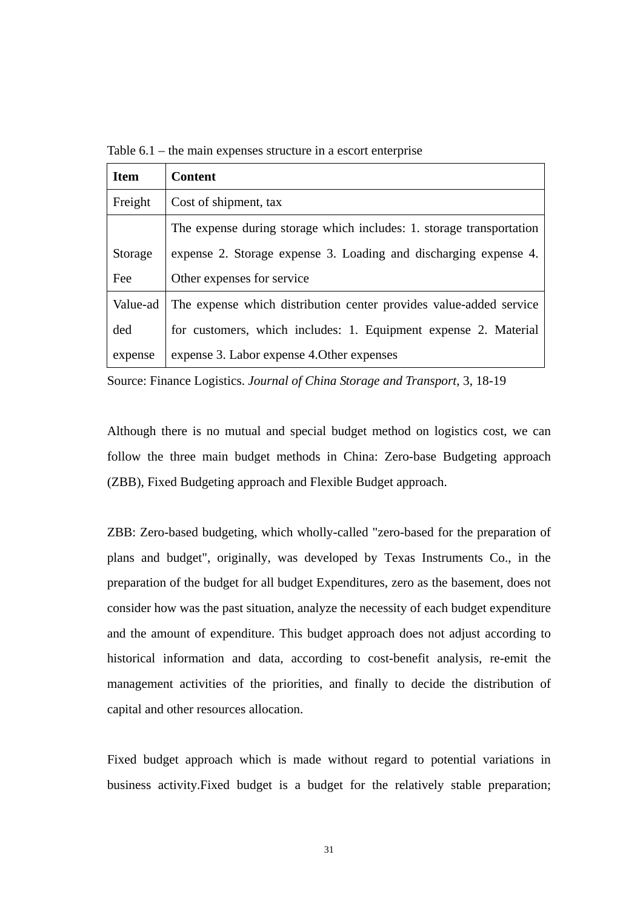<span id="page-41-0"></span>Table 6.1 – the main expenses structure in a escort enterprise

| <b>Item</b> | <b>Content</b>                                                       |
|-------------|----------------------------------------------------------------------|
| Freight     | Cost of shipment, tax                                                |
|             | The expense during storage which includes: 1. storage transportation |
| Storage     | expense 2. Storage expense 3. Loading and discharging expense 4.     |
| Fee         | Other expenses for service                                           |
| Value-ad    | The expense which distribution center provides value-added service   |
| ded         | for customers, which includes: 1. Equipment expense 2. Material      |
| expense     | expense 3. Labor expense 4. Other expenses                           |

Source: Finance Logistics. *Journal of China Storage and Transport*, 3, 18-19

Although there is no mutual and special budget method on logistics cost, we can follow the three main budget methods in China: Zero-base Budgeting approach (ZBB), Fixed Budgeting approach and Flexible Budget approach.

ZBB: Zero-based budgeting, which wholly-called "zero-based for the preparation of plans and budget", originally, was developed by Texas Instruments Co., in the preparation of the budget for all budget Expenditures, zero as the basement, does not consider how was the past situation, analyze the necessity of each budget expenditure and the amount of expenditure. This budget approach does not adjust according to historical information and data, according to cost-benefit analysis, re-emit the management activities of the priorities, and finally to decide the distribution of capital and other resources allocation.

Fixed budget approach which is made without regard to potential [variations](http://www.investorwords.com/5228/variation.html) in [business](http://www.investorwords.com/623/business.html) [activity.](http://www.investorwords.com/92/activity.html)Fixed budget is a budget for the relatively stable preparation;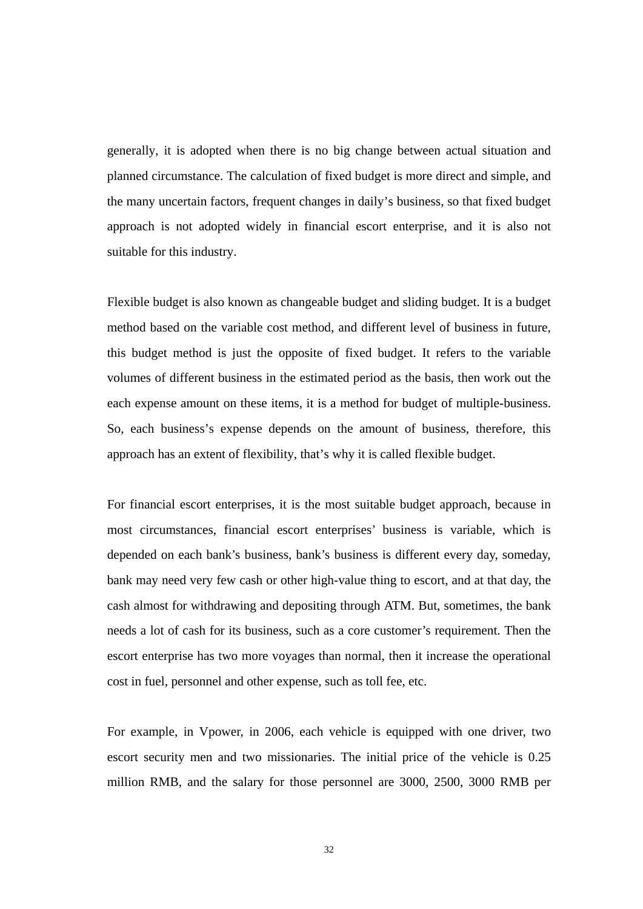generally, it is adopted when there is no big change between actual situation and planned circumstance. The calculation of fixed budget is more direct and simple, and the many uncertain factors, frequent changes in daily's business, so that fixed budget approach is not adopted widely in financial escort enterprise, and it is also not suitable for this industry.

Flexible budget is also known as changeable budget and sliding budget. It is a budget method based on the variable cost method, and different level of business in future, this budget method is just the opposite of fixed budget. It refers to the variable volumes of different business in the estimated period as the basis, then work out the each expense amount on these items, it is a method for budget of multiple-business. So, each business's expense depends on the amount of business, therefore, this approach has an extent of flexibility, that's why it is called flexible budget.

For financial escort enterprises, it is the most suitable budget approach, because in most circumstances, financial escort enterprises' business is variable, which is depended on each bank's business, bank's business is different every day, someday, bank may need very few cash or other high-value thing to escort, and at that day, the cash almost for withdrawing and depositing through ATM. But, sometimes, the bank needs a lot of cash for its business, such as a core customer's requirement. Then the escort enterprise has two more voyages than normal, then it increase the operational cost in fuel, personnel and other expense, such as toll fee, etc.

For example, in Vpower, in 2006, each vehicle is equipped with one driver, two escort security men and two missionaries. The initial price of the vehicle is 0.25 million RMB, and the salary for those personnel are 3000, 2500, 3000 RMB per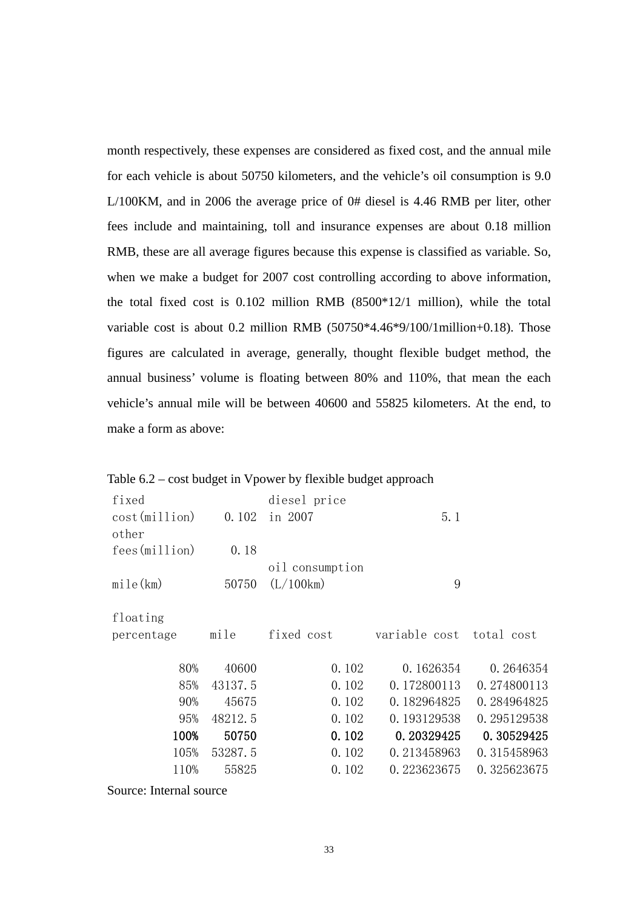<span id="page-43-0"></span>month respectively, these expenses are considered as fixed cost, and the annual mile for each vehicle is about 50750 kilometers, and the vehicle's oil consumption is 9.0 L/100KM, and in 2006 the average price of 0# diesel is 4.46 RMB per liter, other fees include and maintaining, toll and insurance expenses are about 0.18 million RMB, these are all average figures because this expense is classified as variable. So, when we make a budget for 2007 cost controlling according to above information, the total fixed cost is 0.102 million RMB (8500\*12/1 million), while the total variable cost is about 0.2 million RMB (50750\*4.46\*9/100/1million+0.18). Those figures are calculated in average, generally, thought flexible budget method, the annual business' volume is floating between 80% and 110%, that mean the each vehicle's annual mile will be between 40600 and 55825 kilometers. At the end, to make a form as above:

Table 6.2 – cost budget in Vpower by flexible budget approach

| fixed                   |         | diesel price    |                          |             |
|-------------------------|---------|-----------------|--------------------------|-------------|
| cost(million)           | 0.102   | in 2007         | 5.1                      |             |
| other                   |         |                 |                          |             |
| fees (million)          | 0.18    |                 |                          |             |
|                         |         | oil consumption |                          |             |
| mile(km)                | 50750   | (L/100km)       | 9                        |             |
|                         |         |                 |                          |             |
| floating                |         |                 |                          |             |
| percentage              | mile    | fixed cost      | variable cost total cost |             |
|                         |         |                 |                          |             |
| 80%                     | 40600   | 0.102           | 0.1626354                | 0.2646354   |
| 85%                     | 43137.5 | 0.102           | 0.172800113              | 0.274800113 |
| 90%                     | 45675   | 0.102           | 0.182964825              | 0.284964825 |
| 95%                     | 48212.5 | 0.102           | 0.193129538              | 0.295129538 |
| 100%                    | 50750   | 0.102           | 0.20329425               | 0.30529425  |
| 105%                    | 53287.5 | 0.102           | 0.213458963              | 0.315458963 |
| 110%                    | 55825   | 0.102           | 0.223623675              | 0.325623675 |
| Source: Internal source |         |                 |                          |             |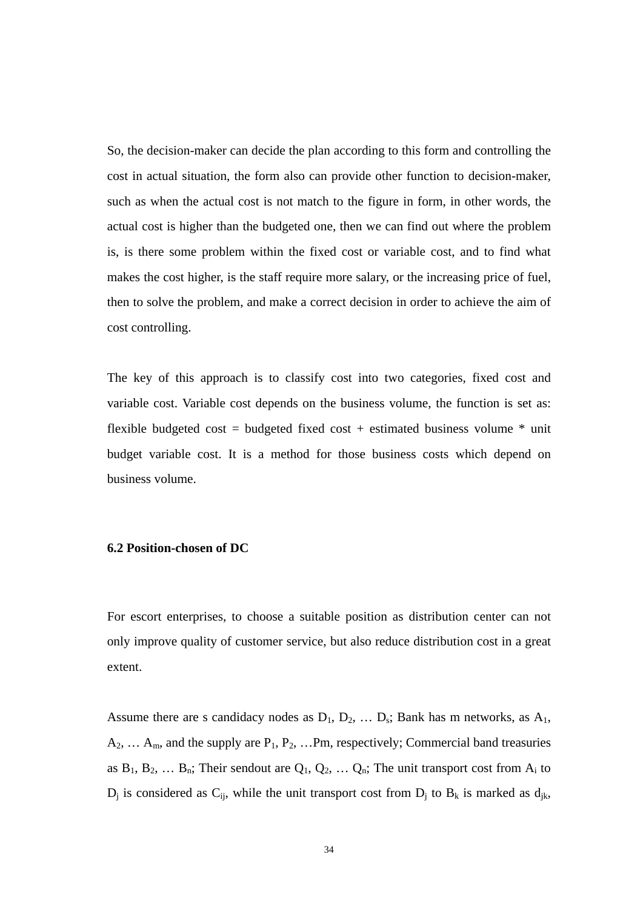<span id="page-44-0"></span>So, the decision-maker can decide the plan according to this form and controlling the cost in actual situation, the form also can provide other function to decision-maker, such as when the actual cost is not match to the figure in form, in other words, the actual cost is higher than the budgeted one, then we can find out where the problem is, is there some problem within the fixed cost or variable cost, and to find what makes the cost higher, is the staff require more salary, or the increasing price of fuel, then to solve the problem, and make a correct decision in order to achieve the aim of cost controlling.

The key of this approach is to classify cost into two categories, fixed cost and variable cost. Variable cost depends on the business volume, the function is set as: flexible budgeted cost = budgeted fixed cost + estimated business volume  $*$  unit budget variable cost. It is a method for those business costs which depend on business volume.

#### **6.2 Position-chosen of DC**

For escort enterprises, to choose a suitable position as distribution center can not only improve quality of customer service, but also reduce distribution cost in a great extent.

Assume there are s candidacy nodes as  $D_1$ ,  $D_2$ , ...  $D_s$ ; Bank has m networks, as  $A_1$ ,  $A_2, \ldots A_m$ , and the supply are  $P_1, P_2, \ldots P_m$ , respectively; Commercial band treasuries as  $B_1, B_2, \ldots B_n$ ; Their sendout are  $Q_1, Q_2, \ldots Q_n$ ; The unit transport cost from  $A_i$  to  $D_i$  is considered as  $C_{ii}$ , while the unit transport cost from  $D_i$  to  $B_k$  is marked as  $d_{ik}$ ,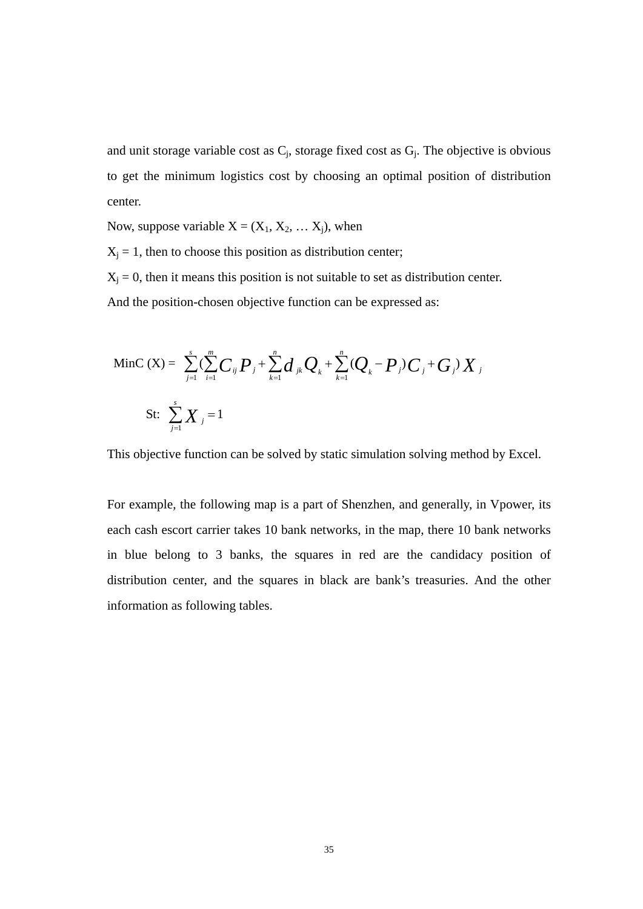and unit storage variable cost as  $C_j$ , storage fixed cost as  $G_j$ . The objective is obvious to get the minimum logistics cost by choosing an optimal position of distribution center.

Now, suppose variable  $X = (X_1, X_2, \dots X_j)$ , when

 $X_j = 1$ , then to choose this position as distribution center;

 $X_j = 0$ , then it means this position is not suitable to set as distribution center. And the position-chosen objective function can be expressed as:

MinC (X) = 
$$
\sum_{j=1}^{s} (\sum_{i=1}^{m} C_{ij} P_j + \sum_{k=1}^{n} d_{jk} Q_k + \sum_{k=1}^{n} (Q_k - P_j) C_j + G_j) X_j
$$
  
St:  $\sum_{j=1}^{s} X_j = 1$ 

This objective function can be solved by static simulation solving method by Excel.

For example, the following map is a part of Shenzhen, and generally, in Vpower, its each cash escort carrier takes 10 bank networks, in the map, there 10 bank networks in blue belong to 3 banks, the squares in red are the candidacy position of distribution center, and the squares in black are bank's treasuries. And the other information as following tables.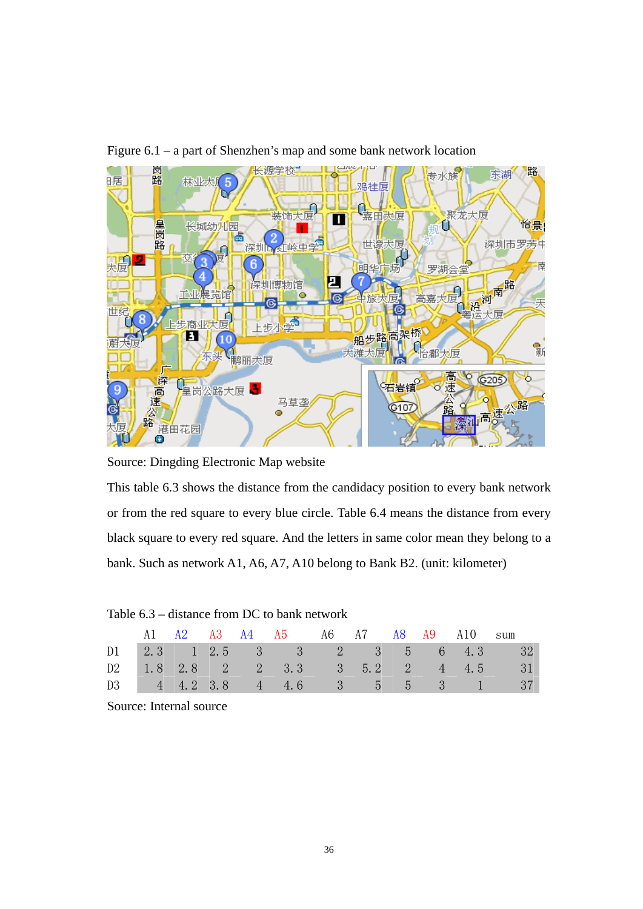

<span id="page-46-0"></span>Figure 6.1 – a part of Shenzhen's map and some bank network location

Source: Dingding Electronic Map website

This table 6.3 shows the distance from the candidacy position to every bank network or from the red square to every blue circle. Table 6.4 means the distance from every black square to every red square. And the letters in same color mean they belong to a bank. Such as network A1, A6, A7, A10 belong to Bank B2. (unit: kilometer)

|  |  | A1 A2 A3 A4 A5 A6 A7 A8 A9 A10 sum |  |  |                                     |
|--|--|------------------------------------|--|--|-------------------------------------|
|  |  |                                    |  |  | D1 2.3 1 2.5 3 3 2 3 5 6 4.3 32     |
|  |  |                                    |  |  | D2 1.8 2.8 2 2 3.3 3 5.2 2 4 4.5 31 |
|  |  |                                    |  |  | D3 4 4.2 3.8 4 4.6 3 5 5 3 1 37     |

Table 6.3 – distance from DC to bank network

Source: Internal source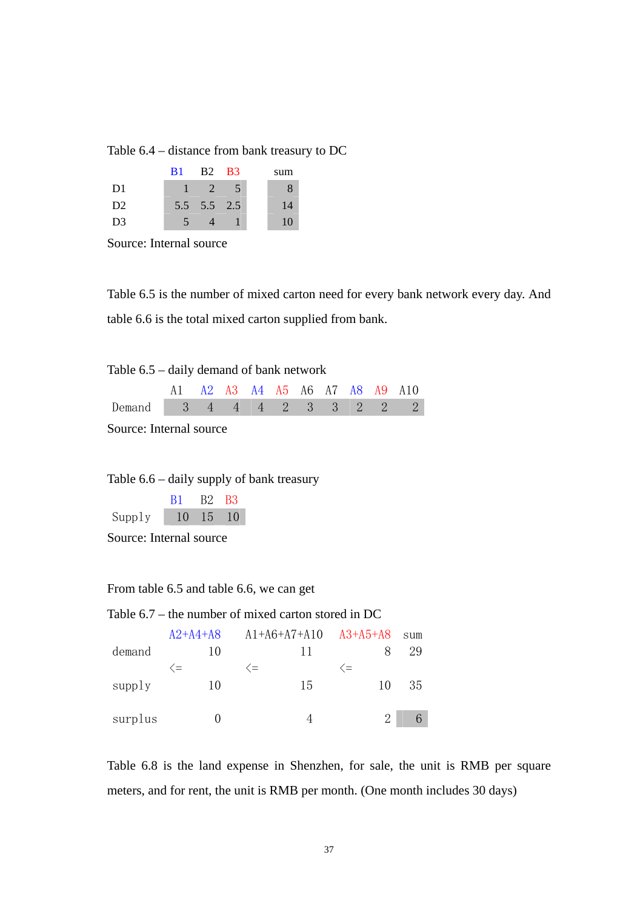<span id="page-47-0"></span>

| Table $6.4$ – distance from bank treasury to DC |  |  |
|-------------------------------------------------|--|--|
|-------------------------------------------------|--|--|

|                | <b>B</b> 1 | <b>B2 B3</b> |      | sum |
|----------------|------------|--------------|------|-----|
| D <sub>1</sub> |            | 2            | $-5$ |     |
| D <sub>2</sub> |            | 5.5 5.5 2.5  |      | 14  |
| D <sub>3</sub> |            |              |      | 10  |

Source: Internal source

Table 6.5 is the number of mixed carton need for every bank network every day. And table 6.6 is the total mixed carton supplied from bank.

Table 6.5 – daily demand of bank network

|                            |  |  |  |  | A1 A2 A3 A4 A5 A6 A7 A8 A9 A10 |
|----------------------------|--|--|--|--|--------------------------------|
| Demand 3 4 4 4 2 3 3 2 2 2 |  |  |  |  |                                |

Source: Internal source

Table 6.6 – daily supply of bank treasury

|        | B1 B2 B3 |                        |  |
|--------|----------|------------------------|--|
| Supply |          | $10 \quad 15 \quad 10$ |  |

Source: Internal source

#### From table 6.5 and table 6.6, we can get

| Table $6.7$ – the number of mixed carton stored in DC |               |                           |    |                  |      |
|-------------------------------------------------------|---------------|---------------------------|----|------------------|------|
|                                                       | $A2+A4+A8$    | $A1+A6+A7+A10$ $A3+A5+A8$ |    |                  | S11m |
| demand                                                | 10            |                           | 11 |                  | 29   |
|                                                       | $\hat{ }$ $=$ | $\langle =$               |    | $\langle \equiv$ |      |
| supply                                                | 10            |                           | 15 | 10               | 35   |
|                                                       |               |                           |    |                  |      |
| surplus                                               |               |                           |    | 2                |      |

Table 6.8 is the land expense in Shenzhen, for sale, the unit is RMB per square meters, and for rent, the unit is RMB per month. (One month includes 30 days)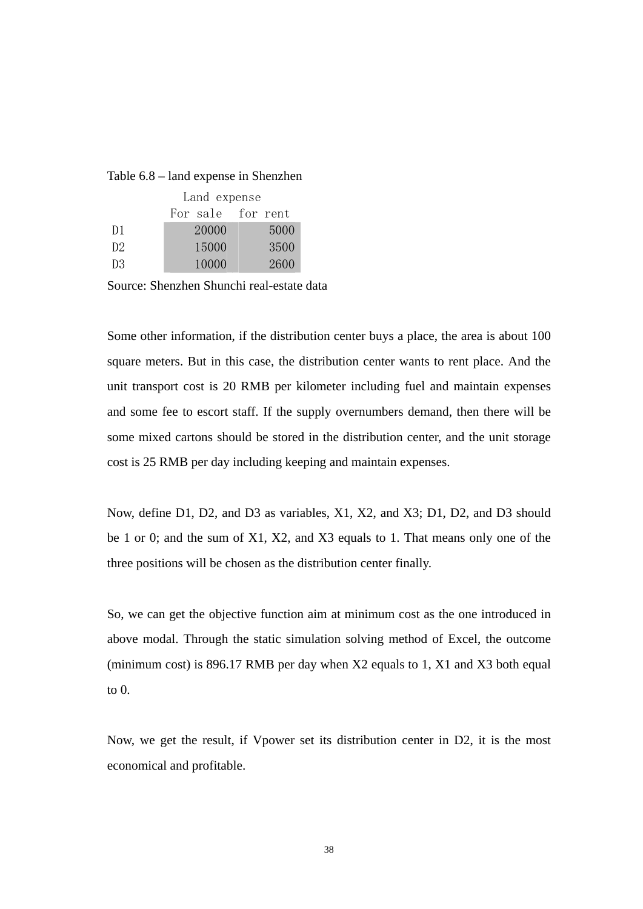#### <span id="page-48-0"></span>Table 6.8 – land expense in Shenzhen

|                | Land expense      |      |  |  |  |
|----------------|-------------------|------|--|--|--|
|                | For sale for rent |      |  |  |  |
| D <sub>1</sub> | 20000             | 5000 |  |  |  |
| D2             | 15000             | 3500 |  |  |  |
| D3.            | 10000             | 2600 |  |  |  |

Source: Shenzhen Shunchi real-estate data

Some other information, if the distribution center buys a place, the area is about 100 square meters. But in this case, the distribution center wants to rent place. And the unit transport cost is 20 RMB per kilometer including fuel and maintain expenses and some fee to escort staff. If the supply overnumbers demand, then there will be some mixed cartons should be stored in the distribution center, and the unit storage cost is 25 RMB per day including keeping and maintain expenses.

Now, define D1, D2, and D3 as variables, X1, X2, and X3; D1, D2, and D3 should be 1 or 0; and the sum of X1, X2, and X3 equals to 1. That means only one of the three positions will be chosen as the distribution center finally.

So, we can get the objective function aim at minimum cost as the one introduced in above modal. Through the static simulation solving method of Excel, the outcome (minimum cost) is 896.17 RMB per day when X2 equals to 1, X1 and X3 both equal to 0.

Now, we get the result, if Vpower set its distribution center in D2, it is the most economical and profitable.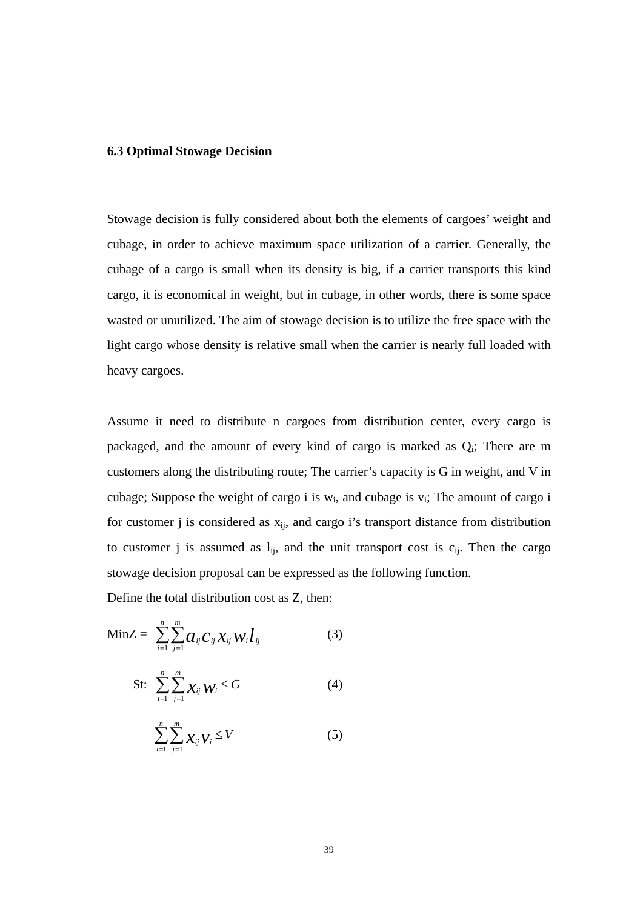#### <span id="page-49-0"></span>**6.3 Optimal Stowage Decision**

Stowage decision is fully considered about both the elements of cargoes' weight and cubage, in order to achieve maximum space utilization of a carrier. Generally, the cubage of a cargo is small when its density is big, if a carrier transports this kind cargo, it is economical in weight, but in cubage, in other words, there is some space wasted or unutilized. The aim of stowage decision is to utilize the free space with the light cargo whose density is relative small when the carrier is nearly full loaded with heavy cargoes.

Assume it need to distribute n cargoes from distribution center, every cargo is packaged, and the amount of every kind of cargo is marked as  $Q_i$ ; There are m customers along the distributing route; The carrier's capacity is G in weight, and V in cubage; Suppose the weight of cargo i is  $w_i$ , and cubage is  $v_i$ ; The amount of cargo i for customer j is considered as  $x_{ii}$ , and cargo i's transport distance from distribution to customer j is assumed as  $l_{ij}$ , and the unit transport cost is  $c_{ij}$ . Then the cargo stowage decision proposal can be expressed as the following function.

Define the total distribution cost as Z, then:

$$
\text{MinZ} = \sum_{i=1}^{n} \sum_{j=1}^{m} a_{ij} C_{ij} \chi_{ij} W_i \hat{l}_{ij} \tag{3}
$$

$$
\text{St:} \quad \sum_{i=1}^{n} \sum_{j=1}^{m} \chi_{ij} \, \mathcal{W}_i \leq G \tag{4}
$$

$$
\sum_{i=1}^{n}\sum_{j=1}^{m} \chi_{ij} \gamma_i \leq V \tag{5}
$$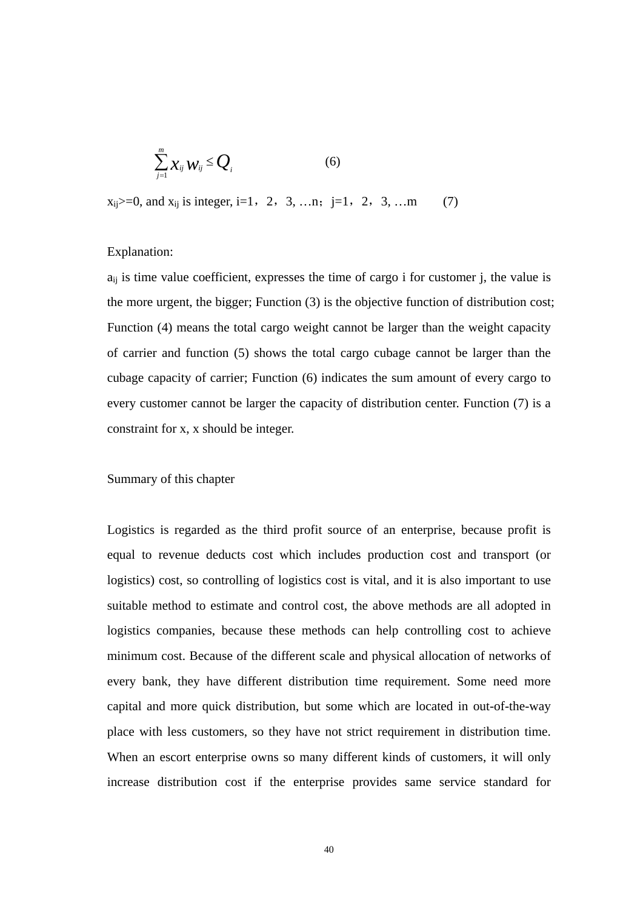$$
\sum_{j=1}^{m} X_{ij} W_{ij} \leq Q_i \tag{6}
$$

 $x_{ii}>=0$ , and  $x_{ii}$  is integer, i=1, 2, 3, …n; j=1, 2, 3, …m (7)

#### Explanation:

 $a_{ii}$  is time value coefficient, expresses the time of cargo i for customer j, the value is the more urgent, the bigger; Function (3) is the objective function of distribution cost; Function (4) means the total cargo weight cannot be larger than the weight capacity of carrier and function (5) shows the total cargo cubage cannot be larger than the cubage capacity of carrier; Function (6) indicates the sum amount of every cargo to every customer cannot be larger the capacity of distribution center. Function (7) is a constraint for x, x should be integer.

#### Summary of this chapter

Logistics is regarded as the third profit source of an enterprise, because profit is equal to revenue deducts cost which includes production cost and transport (or logistics) cost, so controlling of logistics cost is vital, and it is also important to use suitable method to estimate and control cost, the above methods are all adopted in logistics companies, because these methods can help controlling cost to achieve minimum cost. Because of the different scale and physical allocation of networks of every bank, they have different distribution time requirement. Some need more capital and more quick distribution, but some which are located in out-of-the-way place with less customers, so they have not strict requirement in distribution time. When an escort enterprise owns so many different kinds of customers, it will only increase distribution cost if the enterprise provides same service standard for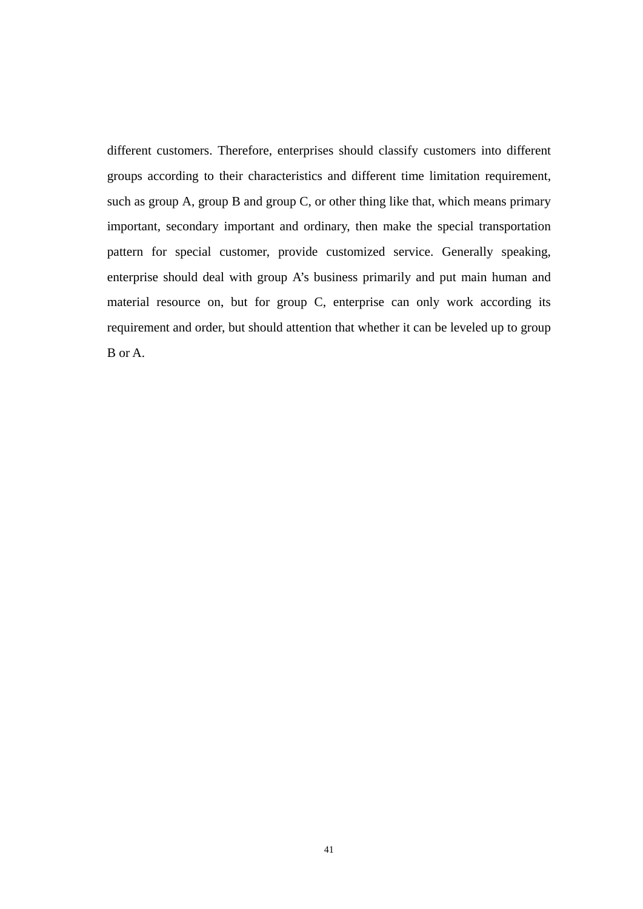different customers. Therefore, enterprises should classify customers into different groups according to their characteristics and different time limitation requirement, such as group A, group B and group C, or other thing like that, which means primary important, secondary important and ordinary, then make the special transportation pattern for special customer, provide customized service. Generally speaking, enterprise should deal with group A's business primarily and put main human and material resource on, but for group C, enterprise can only work according its requirement and order, but should attention that whether it can be leveled up to group B or A.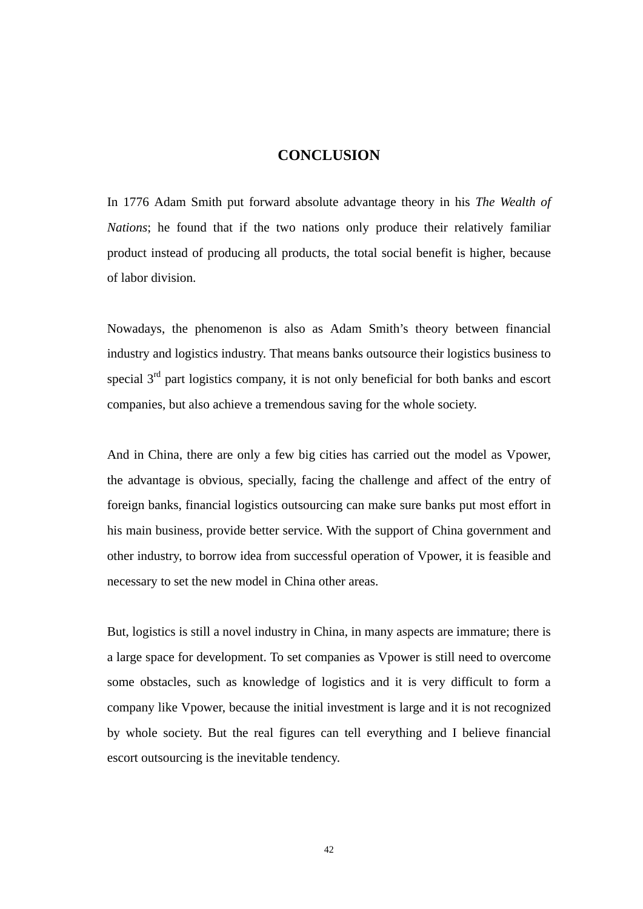#### **CONCLUSION**

<span id="page-52-0"></span>In 1776 Adam Smith put forward absolute advantage theory in his *The Wealth of Nations*; he found that if the two nations only produce their relatively familiar product instead of producing all products, the total social benefit is higher, because of labor division.

Nowadays, the phenomenon is also as Adam Smith's theory between financial industry and logistics industry. That means banks outsource their logistics business to special  $3<sup>rd</sup>$  part logistics company, it is not only beneficial for both banks and escort companies, but also achieve a tremendous saving for the whole society.

And in China, there are only a few big cities has carried out the model as Vpower, the advantage is obvious, specially, facing the challenge and affect of the entry of foreign banks, financial logistics outsourcing can make sure banks put most effort in his main business, provide better service. With the support of China government and other industry, to borrow idea from successful operation of Vpower, it is feasible and necessary to set the new model in China other areas.

But, logistics is still a novel industry in China, in many aspects are immature; there is a large space for development. To set companies as Vpower is still need to overcome some obstacles, such as knowledge of logistics and it is very difficult to form a company like Vpower, because the initial investment is large and it is not recognized by whole society. But the real figures can tell everything and I believe financial escort outsourcing is the inevitable tendency.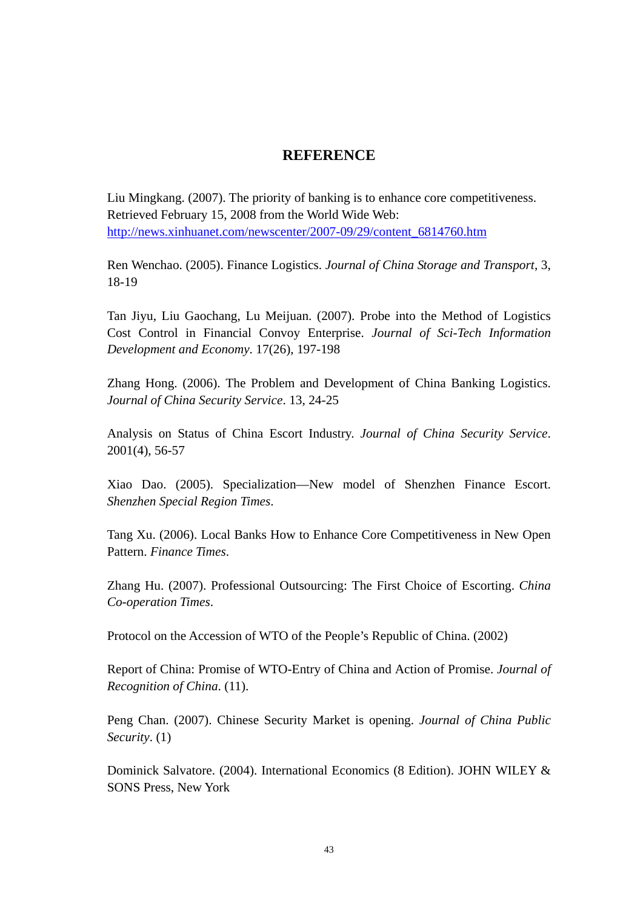### **REFERENCE**

<span id="page-53-0"></span>Liu Mingkang. (2007). The priority of banking is to enhance core competitiveness. Retrieved February 15, 2008 from the World Wide Web: [http://news.xinhuanet.com/newscenter/2007-09/29/content\\_6814760.htm](http://news.xinhuanet.com/newscenter/2007-09/29/content_6814760.htm)

Ren Wenchao. (2005). Finance Logistics. *Journal of China Storage and Transport*, 3, 18-19

Tan Jiyu, Liu Gaochang, Lu Meijuan. (2007). Probe into the Method of Logistics Cost Control in Financial Convoy Enterprise. *Journal of Sci-Tech Information Development and Economy*. 17(26), 197-198

Zhang Hong. (2006). The Problem and Development of China Banking Logistics. *Journal of China Security Service*. 13, 24-25

Analysis on Status of China Escort Industry. *Journal of China Security Service*. 2001(4), 56-57

Xiao Dao. (2005). Specialization—New model of Shenzhen Finance Escort. *Shenzhen Special Region Times*.

Tang Xu. (2006). Local Banks How to Enhance Core Competitiveness in New Open Pattern. *Finance Times*.

Zhang Hu. (2007). Professional Outsourcing: The First Choice of Escorting. *China Co-operation Times*.

Protocol on the Accession of WTO of the People's Republic of China. (2002)

Report of China: Promise of WTO-Entry of China and Action of Promise. *Journal of Recognition of China*. (11).

Peng Chan. (2007). Chinese Security Market is opening. *Journal of China Public Security*. (1)

Dominick Salvatore. (2004). International Economics (8 Edition). JOHN WILEY & SONS Press, New York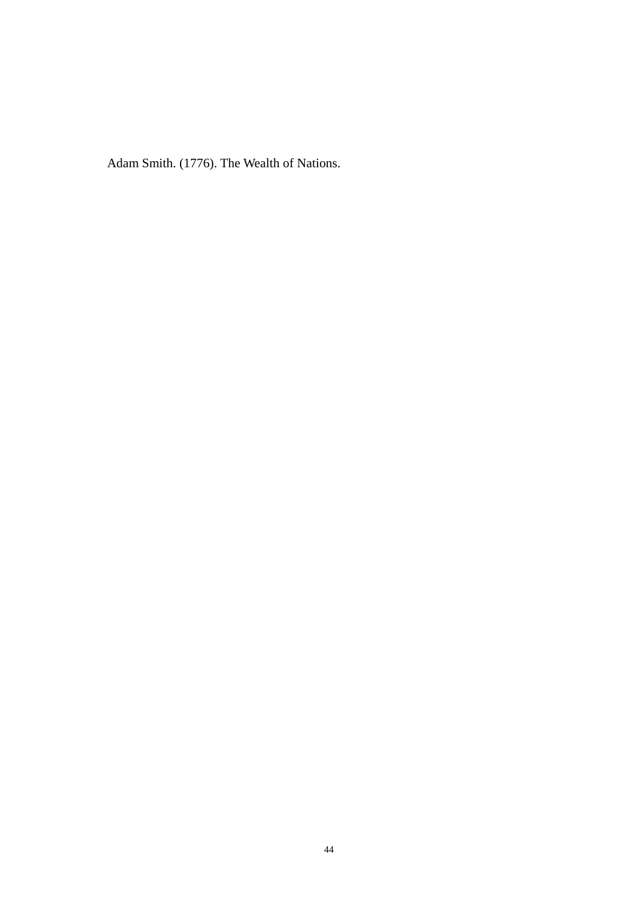Adam Smith. (1776). The Wealth of Nations.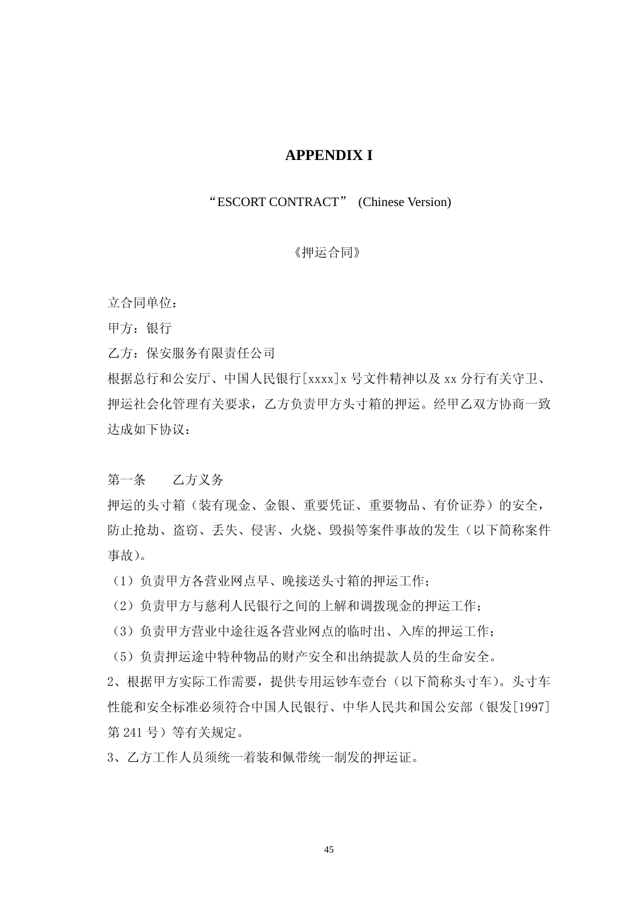### **APPENDIX I**

#### <span id="page-55-0"></span>"ESCORT CONTRACT" (Chinese Version)

#### 《押运合同》

立合同单位:

甲方:银行

乙方:保安服务有限责任公司

根据总行和公安厅、中国人民银行[xxxx]x 号文件精神以及 xx 分行有关守卫、 押运社会化管理有关要求,乙方负责甲方头寸箱的押运。经甲乙双方协商一致 达成如下协议:

第一条 乙方义务

押运的头寸箱(装有现金、金银、重要凭证、重要物品、有价证券)的安全, 防止抢劫、盗窃、丢失、侵害、火烧、毁损等案件事故的发生(以下简称案件 事故)。

(1)负责甲方各营业网点早、晚接送头寸箱的押运工作;

(2)负责甲方与慈利人民银行之间的上解和调拨现金的押运工作;

(3)负责甲方营业中途往返各营业网点的临时出、入库的押运工作;

(5)负责押运途中特种物品的财产安全和出纳提款人员的生命安全。

2、根据甲方实际工作需要,提供专用运钞车壹台(以下简称头寸车)。头寸车 性能和安全标准必须符合中国人民银行、中华人民共和国公安部(银发[1997] 第 241 号)等有关规定。

3、乙方工作人员须统一着装和佩带统一制发的押运证。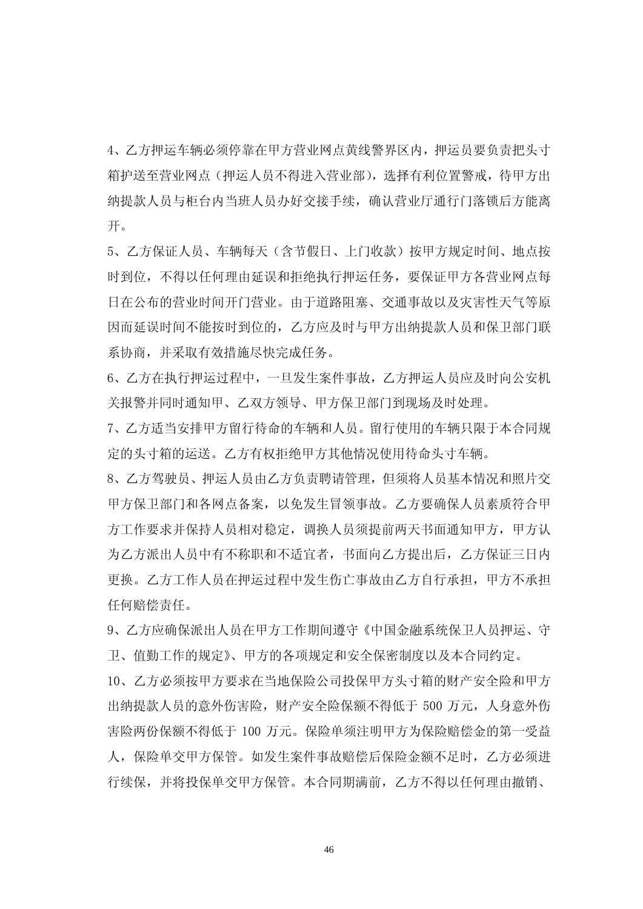4、乙方押运车辆必须停靠在甲方营业网点黄线警界区内,押运员要负责把头寸 箱护送至营业网点(押运人员不得进入营业部), 选择有利位置警戒, 待甲方出 纳提款人员与柜台内当班人员办好交接手续,确认营业厅通行门落锁后方能离 开。

5、乙方保证人员、车辆每天(含节假日、上门收款)按甲方规定时间、地点按 时到位,不得以任何理由延误和拒绝执行押运任务,要保证甲方各营业网点每 日在公布的营业时间开门营业。由于道路阻塞、交通事故以及灾害性天气等原 因而延误时间不能按时到位的,乙方应及时与甲方出纳提款人员和保卫部门联 系协商,并采取有效措施尽快完成任务。

6、乙方在执行押运过程中,一旦发生案件事故,乙方押运人员应及时向公安机 关报警并同时通知甲、乙双方领导、甲方保卫部门到现场及时处理。

7、乙方适当安排甲方留行待命的车辆和人员。留行使用的车辆只限于本合同规 定的头寸箱的运送。乙方有权拒绝甲方其他情况使用待命头寸车辆。

8、乙方驾驶员、押运人员由乙方负责聘请管理,但须将人员基本情况和照片交 甲方保卫部门和各网点备案,以免发生冒领事故。乙方要确保人员素质符合甲 方工作要求并保持人员相对稳定,调换人员须提前两天书面通知甲方,甲方认 为乙方派出人员中有不称职和不适宜者,书面向乙方提出后,乙方保证三日内 更换。乙方工作人员在押运过程中发生伤亡事故由乙方自行承担,甲方不承担 任何赔偿责任。

9、乙方应确保派出人员在甲方工作期间遵守《中国金融系统保卫人员押运、守 卫、值勤工作的规定》、甲方的各项规定和安全保密制度以及本合同约定。

10、乙方必须按甲方要求在当地保险公司投保甲方头寸箱的财产安全险和甲方 出纳提款人员的意外伤害险,财产安全险保额不得低于 500 万元,人身意外伤 害险两份保额不得低于 100 万元。保险单须注明甲方为保险赔偿金的第一受益 人,保险单交甲方保管。如发生案件事故赔偿后保险金额不足时,乙方必须进 行续保,并将投保单交甲方保管。本合同期满前,乙方不得以任何理由撤销、

46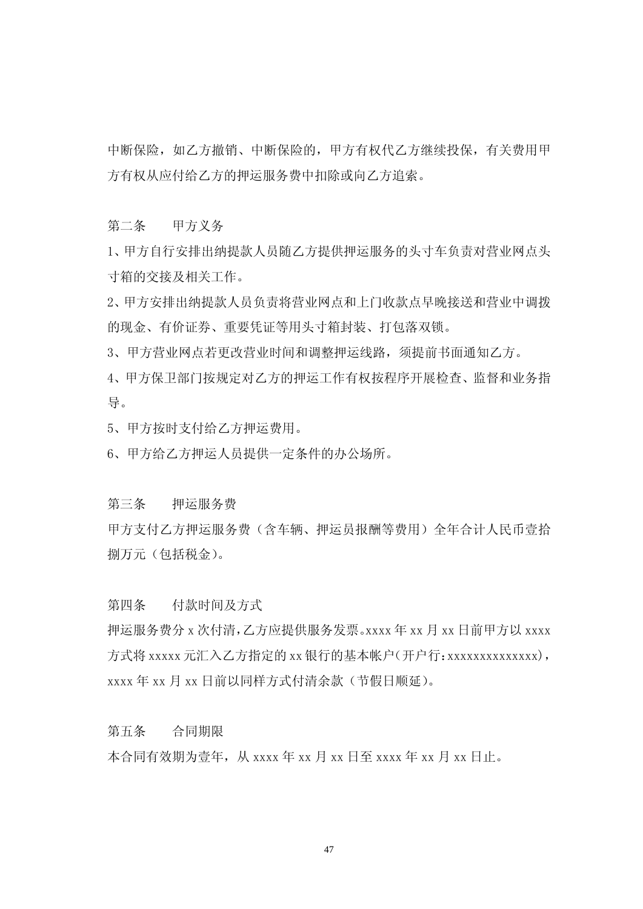中断保险,如乙方撤销、中断保险的,甲方有权代乙方继续投保,有关费用甲 方有权从应付给乙方的押运服务费中扣除或向乙方追索。

第二条 甲方义务

1、甲方自行安排出纳提款人员随乙方提供押运服务的头寸车负责对营业网点头 寸箱的交接及相关工作。

2、甲方安排出纳提款人员负责将营业网点和上门收款点早晚接送和营业中调拨 的现金、有价证券、重要凭证等用头寸箱封装、打包落双锁。

3、甲方营业网点若更改营业时间和调整押运线路,须提前书面通知乙方。

4、甲方保卫部门按规定对乙方的押运工作有权按程序开展检查、监督和业务指 导。

5、甲方按时支付给乙方押运费用。

6、甲方给乙方押运人员提供一定条件的办公场所。

第三条 押运服务费

甲方支付乙方押运服务费(含车辆、押运员报酬等费用)全年合计人民币壹拾 捌万元(包括税金)。

第四条 付款时间及方式

押运服务费分 x 次付清,乙方应提供服务发票。xxxx 年 xx 月 xx 日前甲方以 xxxx 方式将 xxxxx 元汇入乙方指定的 xx 银行的基本帐户(开户行: xxxxxxxxxxxxxxx), xxxx 年 xx 月 xx 日前以同样方式付清余款(节假日顺延)。

第五条 合同期限

本合同有效期为壹年,从 xxxx 年 xx 月 xx 日至 xxxx 年 xx 月 xx 日止。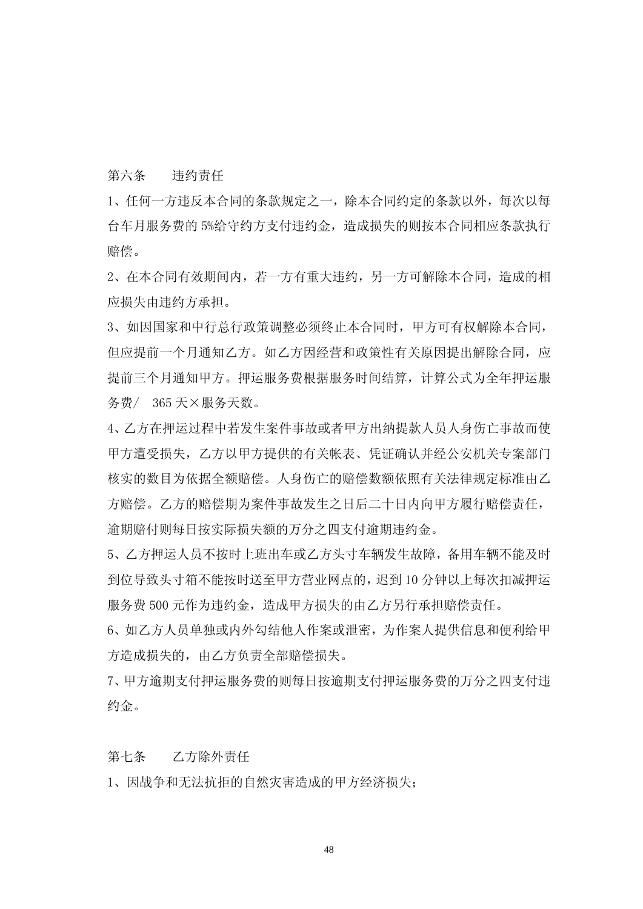第六条 违约责任

1、任何一方违反本合同的条款规定之一,除本合同约定的条款以外,每次以每 台车月服务费的 5%给守约方支付违约金,造成损失的则按本合同相应条款执行 赔偿。

2、在本合同有效期间内,若一方有重大违约,另一方可解除本合同,造成的相 应损失由违约方承担。

3、如因国家和中行总行政策调整必须终止本合同时,甲方可有权解除本合同, 但应提前一个月通知乙方。如乙方因经营和政策性有关原因提出解除合同,应 提前三个月通知甲方。押运服务费根据服务时间结算,计算公式为全年押运服 务费/ 365 天×服务天数。

4、乙方在押运过程中若发生案件事故或者甲方出纳提款人员人身伤亡事故而使 甲方遭受损失,乙方以甲方提供的有关帐表、凭证确认并经公安机关专案部门 核实的数目为依据全额赔偿。人身伤亡的赔偿数额依照有关法律规定标准由乙 方赔偿。乙方的赔偿期为案件事故发生之日后二十日内向甲方履行赔偿责任, 逾期赔付则每日按实际损失额的万分之四支付逾期违约金。

5、乙方押运人员不按时上班出车或乙方头寸车辆发生故障,备用车辆不能及时 到位导致头寸箱不能按时送至甲方营业网点的,迟到 10 分钟以上每次扣减押运 服务费 500 元作为违约金, 造成甲方损失的由乙方另行承担赔偿责任。

6、如乙方人员单独或内外勾结他人作案或泄密,为作案人提供信息和便利给甲 方造成损失的, 由乙方负责全部赔偿损失。

7、甲方逾期支付押运服务费的则每日按逾期支付押运服务费的万分之四支付违 约金。

第七条 乙方除外责任

1、因战争和无法抗拒的自然灾害造成的甲方经济损失;